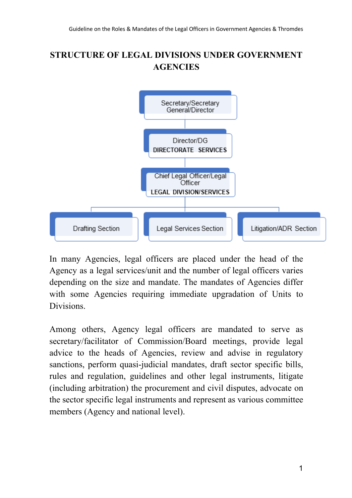# **STRUCTURE OF LEGAL DIVISIONS UNDER GOVERNMENT AGENCIES**



In many Agencies, legal officers are placed under the head of the Agency as a legal services/unit and the number of legal officers varies depending on the size and mandate. The mandates of Agencies differ with some Agencies requiring immediate upgradation of Units to Divisions.

Among others, Agency legal officers are mandated to serve as secretary/facilitator of Commission/Board meetings, provide legal advice to the heads of Agencies, review and advise in regulatory sanctions, perform quasi-judicial mandates, draft sector specific bills, rules and regulation, guidelines and other legal instruments, litigate (including arbitration) the procurement and civil disputes, advocate on the sector specific legal instruments and represent as various committee members (Agency and national level).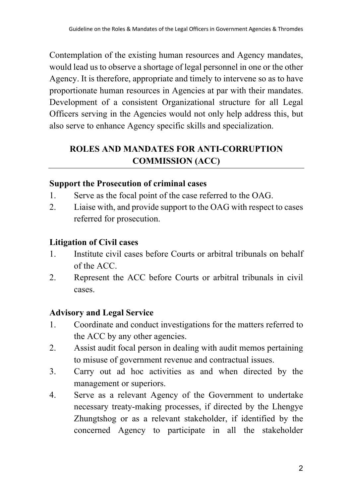Contemplation of the existing human resources and Agency mandates, would lead us to observe a shortage of legal personnel in one or the other Agency. It is therefore, appropriate and timely to intervene so as to have proportionate human resources in Agencies at par with their mandates. Development of a consistent Organizational structure for all Legal Officers serving in the Agencies would not only help address this, but also serve to enhance Agency specific skills and specialization.

# **ROLES AND MANDATES FOR ANTI-CORRUPTION COMMISSION (ACC)**

#### **Support the Prosecution of criminal cases**

- 1. Serve as the focal point of the case referred to the OAG.
- 2. Liaise with, and provide support to the OAG with respect to cases referred for prosecution.

#### **Litigation of Civil cases**

- 1. Institute civil cases before Courts or arbitral tribunals on behalf of the ACC.
- 2. Represent the ACC before Courts or arbitral tribunals in civil cases.

# **Advisory and Legal Service**

- 1. Coordinate and conduct investigations for the matters referred to the ACC by any other agencies.
- 2. Assist audit focal person in dealing with audit memos pertaining to misuse of government revenue and contractual issues.
- 3. Carry out ad hoc activities as and when directed by the management or superiors.
- 4. Serve as a relevant Agency of the Government to undertake necessary treaty-making processes, if directed by the Lhengye Zhungtshog or as a relevant stakeholder, if identified by the concerned Agency to participate in all the stakeholder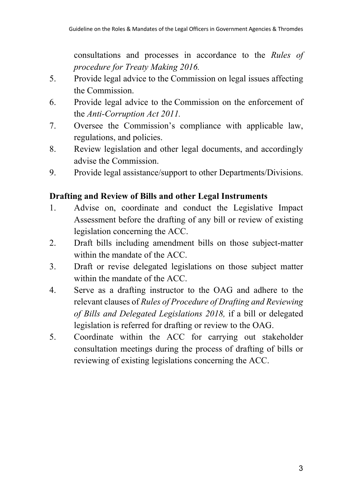consultations and processes in accordance to the *Rules of procedure for Treaty Making 2016.*

- 5. Provide legal advice to the Commission on legal issues affecting the Commission.
- 6. Provide legal advice to the Commission on the enforcement of the *Anti-Corruption Act 2011.*
- 7. Oversee the Commission's compliance with applicable law, regulations, and policies.
- 8. Review legislation and other legal documents, and accordingly advise the Commission.
- 9. Provide legal assistance/support to other Departments/Divisions.

### **Drafting and Review of Bills and other Legal Instruments**

- 1. Advise on, coordinate and conduct the Legislative Impact Assessment before the drafting of any bill or review of existing legislation concerning the ACC.
- 2. Draft bills including amendment bills on those subject-matter within the mandate of the ACC.
- 3. Draft or revise delegated legislations on those subject matter within the mandate of the ACC.
- 4. Serve as a drafting instructor to the OAG and adhere to the relevant clauses of *Rules of Procedure of Drafting and Reviewing of Bills and Delegated Legislations 2018,* if a bill or delegated legislation is referred for drafting or review to the OAG.
- 5. Coordinate within the ACC for carrying out stakeholder consultation meetings during the process of drafting of bills or reviewing of existing legislations concerning the ACC.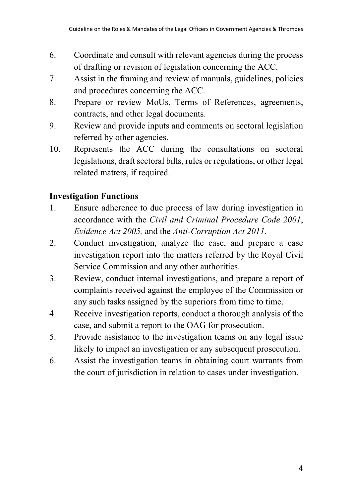- 6. Coordinate and consult with relevant agencies during the process of drafting or revision of legislation concerning the ACC.
- 7. Assist in the framing and review of manuals, guidelines, policies and procedures concerning the ACC.
- 8. Prepare or review MoUs, Terms of References, agreements, contracts, and other legal documents.
- 9. Review and provide inputs and comments on sectoral legislation referred by other agencies.
- 10. Represents the ACC during the consultations on sectoral legislations, draft sectoral bills, rules or regulations, or other legal related matters, if required.

# **Investigation Functions**

- 1. Ensure adherence to due process of law during investigation in accordance with the *Civil and Criminal Procedure Code 2001*, *Evidence Act 2005,* and the *Anti-Corruption Act 2011*.
- 2. Conduct investigation, analyze the case, and prepare a case investigation report into the matters referred by the Royal Civil Service Commission and any other authorities.
- 3. Review, conduct internal investigations, and prepare a report of complaints received against the employee of the Commission or any such tasks assigned by the superiors from time to time.
- 4. Receive investigation reports, conduct a thorough analysis of the case, and submit a report to the OAG for prosecution.
- 5. Provide assistance to the investigation teams on any legal issue likely to impact an investigation or any subsequent prosecution.
- 6. Assist the investigation teams in obtaining court warrants from the court of jurisdiction in relation to cases under investigation.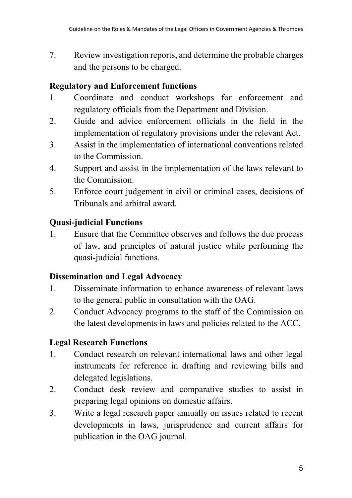7. Review investigation reports, and determine the probable charges and the persons to be charged.

### **Regulatory and Enforcement functions**

- 1. Coordinate and conduct workshops for enforcement and regulatory officials from the Department and Division.
- 2. Guide and advice enforcement officials in the field in the implementation of regulatory provisions under the relevant Act.
- 3. Assist in the implementation of international conventions related to the Commission.
- 4. Support and assist in the implementation of the laws relevant to the Commission.
- 5. Enforce court judgement in civil or criminal cases, decisions of Tribunals and arbitral award.

### **Quasi-judicial Functions**

1. Ensure that the Committee observes and follows the due process of law, and principles of natural justice while performing the quasi-judicial functions.

# **Dissemination and Legal Advocacy**

- 1. Disseminate information to enhance awareness of relevant laws to the general public in consultation with the OAG.
- 2. Conduct Advocacy programs to the staff of the Commission on the latest developments in laws and policies related to the ACC.

# **Legal Research Functions**

- 1. Conduct research on relevant international laws and other legal instruments for reference in drafting and reviewing bills and delegated legislations.
- 2. Conduct desk review and comparative studies to assist in preparing legal opinions on domestic affairs.
- 3. Write a legal research paper annually on issues related to recent developments in laws, jurisprudence and current affairs for publication in the OAG journal.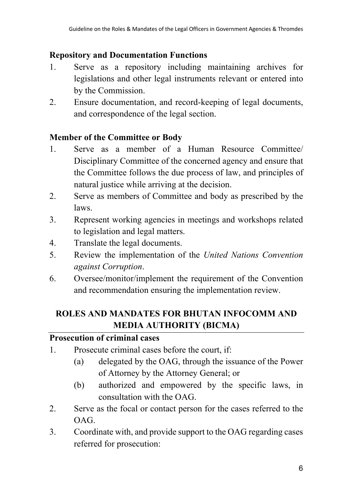#### **Repository and Documentation Functions**

- 1. Serve as a repository including maintaining archives for legislations and other legal instruments relevant or entered into by the Commission.
- 2. Ensure documentation, and record-keeping of legal documents, and correspondence of the legal section.

### **Member of the Committee or Body**

- 1. Serve as a member of a Human Resource Committee/ Disciplinary Committee of the concerned agency and ensure that the Committee follows the due process of law, and principles of natural justice while arriving at the decision.
- 2. Serve as members of Committee and body as prescribed by the laws.
- 3. Represent working agencies in meetings and workshops related to legislation and legal matters.
- 4. Translate the legal documents.
- 5. Review the implementation of the *United Nations Convention against Corruption*.
- 6. Oversee/monitor/implement the requirement of the Convention and recommendation ensuring the implementation review.

# **ROLES AND MANDATES FOR BHUTAN INFOCOMM AND MEDIA AUTHORITY (BICMA)**

#### **Prosecution of criminal cases**

- 1. Prosecute criminal cases before the court, if:
	- (a) delegated by the OAG, through the issuance of the Power of Attorney by the Attorney General; or
	- (b) authorized and empowered by the specific laws, in consultation with the OAG.
- 2. Serve as the focal or contact person for the cases referred to the OAG.
- 3. Coordinate with, and provide support to the OAG regarding cases referred for prosecution: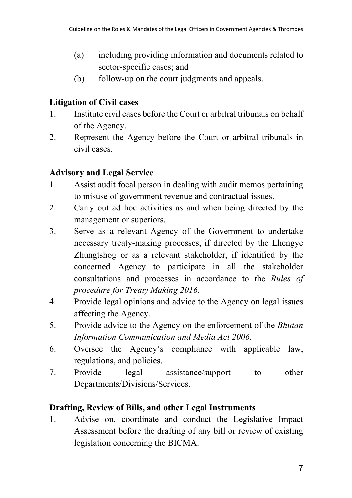- (a) including providing information and documents related to sector-specific cases; and
- (b) follow-up on the court judgments and appeals.

# **Litigation of Civil cases**

- 1. Institute civil cases before the Court or arbitral tribunals on behalf of the Agency.
- 2. Represent the Agency before the Court or arbitral tribunals in civil cases.

# **Advisory and Legal Service**

- 1. Assist audit focal person in dealing with audit memos pertaining to misuse of government revenue and contractual issues.
- 2. Carry out ad hoc activities as and when being directed by the management or superiors.
- 3. Serve as a relevant Agency of the Government to undertake necessary treaty-making processes, if directed by the Lhengye Zhungtshog or as a relevant stakeholder, if identified by the concerned Agency to participate in all the stakeholder consultations and processes in accordance to the *Rules of procedure for Treaty Making 2016.*
- 4. Provide legal opinions and advice to the Agency on legal issues affecting the Agency.
- 5. Provide advice to the Agency on the enforcement of the *Bhutan Information Communication and Media Act 2006*.
- 6. Oversee the Agency's compliance with applicable law, regulations, and policies.
- 7. Provide legal assistance/support to other Departments/Divisions/Services.

# **Drafting, Review of Bills, and other Legal Instruments**

1. Advise on, coordinate and conduct the Legislative Impact Assessment before the drafting of any bill or review of existing legislation concerning the BICMA.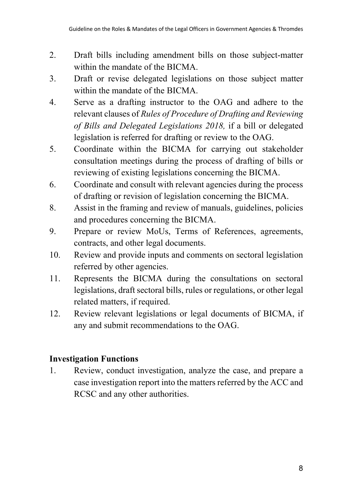- 2. Draft bills including amendment bills on those subject-matter within the mandate of the BICMA.
- 3. Draft or revise delegated legislations on those subject matter within the mandate of the BICMA.
- 4. Serve as a drafting instructor to the OAG and adhere to the relevant clauses of *Rules of Procedure of Drafting and Reviewing of Bills and Delegated Legislations 2018,* if a bill or delegated legislation is referred for drafting or review to the OAG.
- 5. Coordinate within the BICMA for carrying out stakeholder consultation meetings during the process of drafting of bills or reviewing of existing legislations concerning the BICMA.
- 6. Coordinate and consult with relevant agencies during the process of drafting or revision of legislation concerning the BICMA.
- 8. Assist in the framing and review of manuals, guidelines, policies and procedures concerning the BICMA.
- 9. Prepare or review MoUs, Terms of References, agreements, contracts, and other legal documents.
- 10. Review and provide inputs and comments on sectoral legislation referred by other agencies.
- 11. Represents the BICMA during the consultations on sectoral legislations, draft sectoral bills, rules or regulations, or other legal related matters, if required.
- 12. Review relevant legislations or legal documents of BICMA, if any and submit recommendations to the OAG.

# **Investigation Functions**

1. Review, conduct investigation, analyze the case, and prepare a case investigation report into the matters referred by the ACC and RCSC and any other authorities.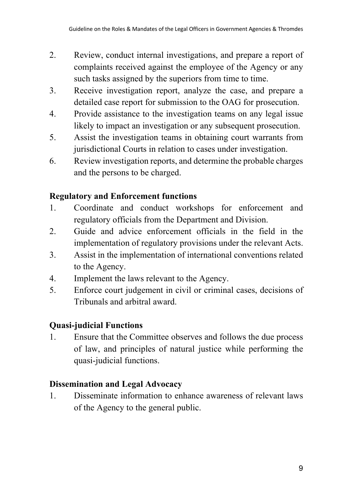- 2. Review, conduct internal investigations, and prepare a report of complaints received against the employee of the Agency or any such tasks assigned by the superiors from time to time.
- 3. Receive investigation report, analyze the case, and prepare a detailed case report for submission to the OAG for prosecution.
- 4. Provide assistance to the investigation teams on any legal issue likely to impact an investigation or any subsequent prosecution.
- 5. Assist the investigation teams in obtaining court warrants from jurisdictional Courts in relation to cases under investigation.
- 6. Review investigation reports, and determine the probable charges and the persons to be charged.

### **Regulatory and Enforcement functions**

- 1. Coordinate and conduct workshops for enforcement and regulatory officials from the Department and Division.
- 2. Guide and advice enforcement officials in the field in the implementation of regulatory provisions under the relevant Acts.
- 3. Assist in the implementation of international conventions related to the Agency.
- 4. Implement the laws relevant to the Agency.
- 5. Enforce court judgement in civil or criminal cases, decisions of Tribunals and arbitral award.

# **Quasi-judicial Functions**

1. Ensure that the Committee observes and follows the due process of law, and principles of natural justice while performing the quasi-judicial functions.

# **Dissemination and Legal Advocacy**

1. Disseminate information to enhance awareness of relevant laws of the Agency to the general public.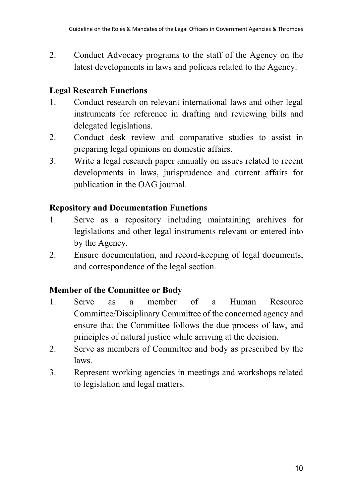2. Conduct Advocacy programs to the staff of the Agency on the latest developments in laws and policies related to the Agency.

# **Legal Research Functions**

- 1. Conduct research on relevant international laws and other legal instruments for reference in drafting and reviewing bills and delegated legislations.
- 2. Conduct desk review and comparative studies to assist in preparing legal opinions on domestic affairs.
- 3. Write a legal research paper annually on issues related to recent developments in laws, jurisprudence and current affairs for publication in the OAG journal.

### **Repository and Documentation Functions**

- 1. Serve as a repository including maintaining archives for legislations and other legal instruments relevant or entered into by the Agency.
- 2. Ensure documentation, and record-keeping of legal documents, and correspondence of the legal section.

# **Member of the Committee or Body**

- 1. Serve as a member of a Human Resource Committee/Disciplinary Committee of the concerned agency and ensure that the Committee follows the due process of law, and principles of natural justice while arriving at the decision.
- 2. Serve as members of Committee and body as prescribed by the laws.
- 3. Represent working agencies in meetings and workshops related to legislation and legal matters.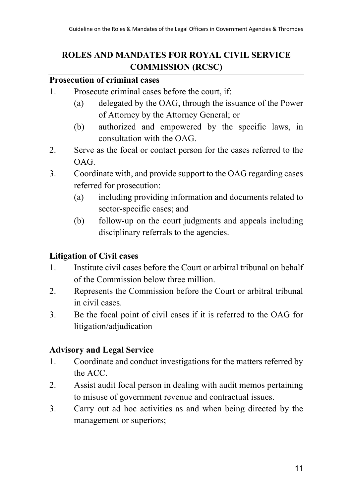# **ROLES AND MANDATES FOR ROYAL CIVIL SERVICE COMMISSION (RCSC)**

#### **Prosecution of criminal cases**

- 1. Prosecute criminal cases before the court, if:
	- (a) delegated by the OAG, through the issuance of the Power of Attorney by the Attorney General; or
	- (b) authorized and empowered by the specific laws, in consultation with the OAG.
- 2. Serve as the focal or contact person for the cases referred to the OAG.
- 3. Coordinate with, and provide support to the OAG regarding cases referred for prosecution:
	- (a) including providing information and documents related to sector-specific cases; and
	- (b) follow-up on the court judgments and appeals including disciplinary referrals to the agencies.

# **Litigation of Civil cases**

- 1. Institute civil cases before the Court or arbitral tribunal on behalf of the Commission below three million.
- 2. Represents the Commission before the Court or arbitral tribunal in civil cases.
- 3. Be the focal point of civil cases if it is referred to the OAG for litigation/adjudication

# **Advisory and Legal Service**

- 1. Coordinate and conduct investigations for the matters referred by the ACC.
- 2. Assist audit focal person in dealing with audit memos pertaining to misuse of government revenue and contractual issues.
- 3. Carry out ad hoc activities as and when being directed by the management or superiors;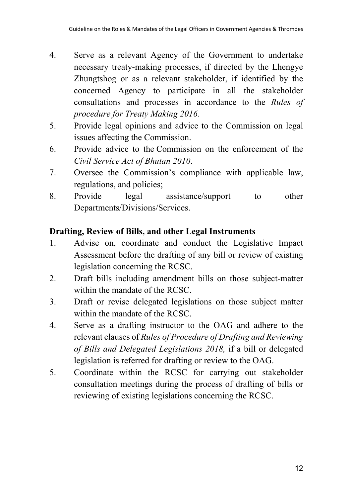- 4. Serve as a relevant Agency of the Government to undertake necessary treaty-making processes, if directed by the Lhengye Zhungtshog or as a relevant stakeholder, if identified by the concerned Agency to participate in all the stakeholder consultations and processes in accordance to the *Rules of procedure for Treaty Making 2016.*
- 5. Provide legal opinions and advice to the Commission on legal issues affecting the Commission.
- 6. Provide advice to the Commission on the enforcement of the *Civil Service Act of Bhutan 2010*.
- 7. Oversee the Commission's compliance with applicable law, regulations, and policies;
- 8. Provide legal assistance/support to other Departments/Divisions/Services.

# **Drafting, Review of Bills, and other Legal Instruments**

- 1. Advise on, coordinate and conduct the Legislative Impact Assessment before the drafting of any bill or review of existing legislation concerning the RCSC.
- 2. Draft bills including amendment bills on those subject-matter within the mandate of the RCSC.
- 3. Draft or revise delegated legislations on those subject matter within the mandate of the RCSC.
- 4. Serve as a drafting instructor to the OAG and adhere to the relevant clauses of *Rules of Procedure of Drafting and Reviewing of Bills and Delegated Legislations 2018,* if a bill or delegated legislation is referred for drafting or review to the OAG.
- 5. Coordinate within the RCSC for carrying out stakeholder consultation meetings during the process of drafting of bills or reviewing of existing legislations concerning the RCSC.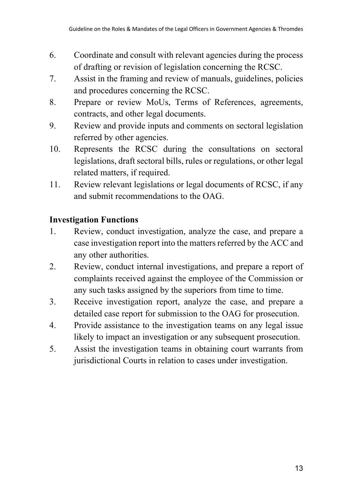- 6. Coordinate and consult with relevant agencies during the process of drafting or revision of legislation concerning the RCSC.
- 7. Assist in the framing and review of manuals, guidelines, policies and procedures concerning the RCSC.
- 8. Prepare or review MoUs, Terms of References, agreements, contracts, and other legal documents.
- 9. Review and provide inputs and comments on sectoral legislation referred by other agencies.
- 10. Represents the RCSC during the consultations on sectoral legislations, draft sectoral bills, rules or regulations, or other legal related matters, if required.
- 11. Review relevant legislations or legal documents of RCSC, if any and submit recommendations to the OAG.

# **Investigation Functions**

- 1. Review, conduct investigation, analyze the case, and prepare a case investigation report into the matters referred by the ACC and any other authorities.
- 2. Review, conduct internal investigations, and prepare a report of complaints received against the employee of the Commission or any such tasks assigned by the superiors from time to time.
- 3. Receive investigation report, analyze the case, and prepare a detailed case report for submission to the OAG for prosecution.
- 4. Provide assistance to the investigation teams on any legal issue likely to impact an investigation or any subsequent prosecution.
- 5. Assist the investigation teams in obtaining court warrants from jurisdictional Courts in relation to cases under investigation.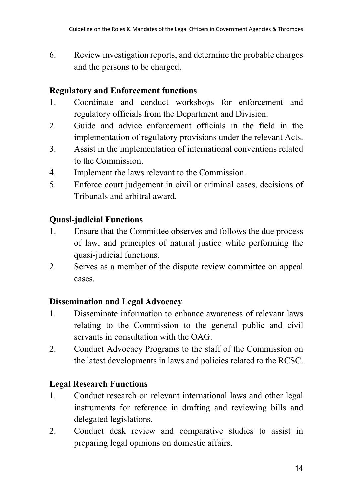6. Review investigation reports, and determine the probable charges and the persons to be charged.

## **Regulatory and Enforcement functions**

- 1. Coordinate and conduct workshops for enforcement and regulatory officials from the Department and Division.
- 2. Guide and advice enforcement officials in the field in the implementation of regulatory provisions under the relevant Acts.
- 3. Assist in the implementation of international conventions related to the Commission.
- 4. Implement the laws relevant to the Commission.
- 5. Enforce court judgement in civil or criminal cases, decisions of Tribunals and arbitral award.

# **Quasi-judicial Functions**

- 1. Ensure that the Committee observes and follows the due process of law, and principles of natural justice while performing the quasi-judicial functions.
- 2. Serves as a member of the dispute review committee on appeal cases.

# **Dissemination and Legal Advocacy**

- 1. Disseminate information to enhance awareness of relevant laws relating to the Commission to the general public and civil servants in consultation with the OAG.
- 2. Conduct Advocacy Programs to the staff of the Commission on the latest developments in laws and policies related to the RCSC.

# **Legal Research Functions**

- 1. Conduct research on relevant international laws and other legal instruments for reference in drafting and reviewing bills and delegated legislations.
- 2. Conduct desk review and comparative studies to assist in preparing legal opinions on domestic affairs.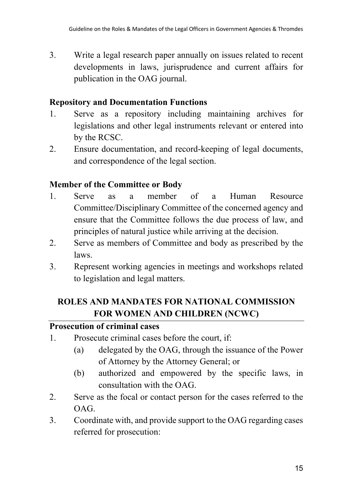3. Write a legal research paper annually on issues related to recent developments in laws, jurisprudence and current affairs for publication in the OAG journal.

#### **Repository and Documentation Functions**

- 1. Serve as a repository including maintaining archives for legislations and other legal instruments relevant or entered into by the RCSC.
- 2. Ensure documentation, and record-keeping of legal documents, and correspondence of the legal section.

### **Member of the Committee or Body**

- 1. Serve as a member of a Human Resource Committee/Disciplinary Committee of the concerned agency and ensure that the Committee follows the due process of law, and principles of natural justice while arriving at the decision.
- 2. Serve as members of Committee and body as prescribed by the laws.
- 3. Represent working agencies in meetings and workshops related to legislation and legal matters.

# **ROLES AND MANDATES FOR NATIONAL COMMISSION FOR WOMEN AND CHILDREN (NCWC)**

#### **Prosecution of criminal cases**

- 1. Prosecute criminal cases before the court, if:
	- (a) delegated by the OAG, through the issuance of the Power of Attorney by the Attorney General; or
	- (b) authorized and empowered by the specific laws, in consultation with the OAG.
- 2. Serve as the focal or contact person for the cases referred to the  $OAG$
- 3. Coordinate with, and provide support to the OAG regarding cases referred for prosecution: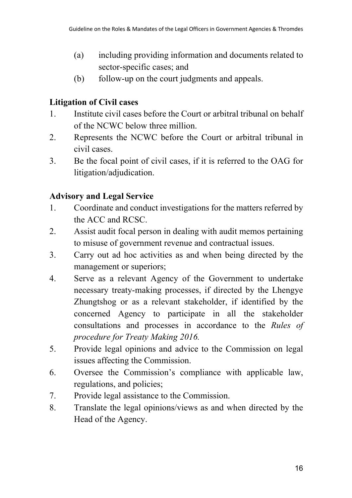- (a) including providing information and documents related to sector-specific cases; and
- (b) follow-up on the court judgments and appeals.

# **Litigation of Civil cases**

- 1. Institute civil cases before the Court or arbitral tribunal on behalf of the NCWC below three million.
- 2. Represents the NCWC before the Court or arbitral tribunal in civil cases.
- 3. Be the focal point of civil cases, if it is referred to the OAG for litigation/adjudication.

# **Advisory and Legal Service**

- 1. Coordinate and conduct investigations for the matters referred by the ACC and RCSC.
- 2. Assist audit focal person in dealing with audit memos pertaining to misuse of government revenue and contractual issues.
- 3. Carry out ad hoc activities as and when being directed by the management or superiors;
- 4. Serve as a relevant Agency of the Government to undertake necessary treaty-making processes, if directed by the Lhengye Zhungtshog or as a relevant stakeholder, if identified by the concerned Agency to participate in all the stakeholder consultations and processes in accordance to the *Rules of procedure for Treaty Making 2016.*
- 5. Provide legal opinions and advice to the Commission on legal issues affecting the Commission.
- 6. Oversee the Commission's compliance with applicable law, regulations, and policies;
- 7. Provide legal assistance to the Commission.
- 8. Translate the legal opinions/views as and when directed by the Head of the Agency.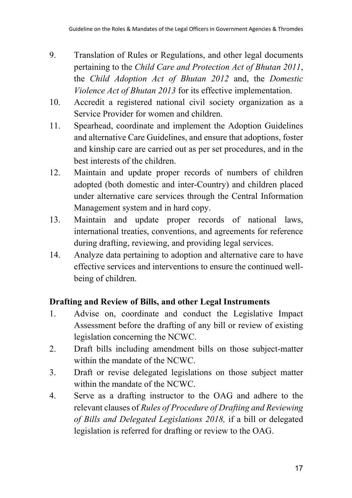- 9. Translation of Rules or Regulations, and other legal documents pertaining to the *Child Care and Protection Act of Bhutan 2011*, the *Child Adoption Act of Bhutan 2012* and, the *Domestic Violence Act of Bhutan 2013* for its effective implementation.
- 10. Accredit a registered national civil society organization as a Service Provider for women and children.
- 11. Spearhead, coordinate and implement the Adoption Guidelines and alternative Care Guidelines, and ensure that adoptions, foster and kinship care are carried out as per set procedures, and in the best interests of the children.
- 12. Maintain and update proper records of numbers of children adopted (both domestic and inter-Country) and children placed under alternative care services through the Central Information Management system and in hard copy.
- 13. Maintain and update proper records of national laws, international treaties, conventions, and agreements for reference during drafting, reviewing, and providing legal services.
- 14. Analyze data pertaining to adoption and alternative care to have effective services and interventions to ensure the continued wellbeing of children.

# **Drafting and Review of Bills, and other Legal Instruments**

- 1. Advise on, coordinate and conduct the Legislative Impact Assessment before the drafting of any bill or review of existing legislation concerning the NCWC.
- 2. Draft bills including amendment bills on those subject-matter within the mandate of the NCWC.
- 3. Draft or revise delegated legislations on those subject matter within the mandate of the NCWC.
- 4. Serve as a drafting instructor to the OAG and adhere to the relevant clauses of *Rules of Procedure of Drafting and Reviewing of Bills and Delegated Legislations 2018,* if a bill or delegated legislation is referred for drafting or review to the OAG.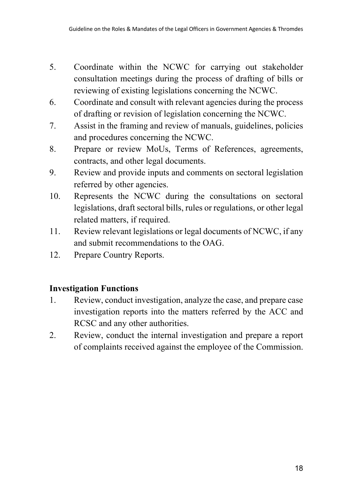- 5. Coordinate within the NCWC for carrying out stakeholder consultation meetings during the process of drafting of bills or reviewing of existing legislations concerning the NCWC.
- 6. Coordinate and consult with relevant agencies during the process of drafting or revision of legislation concerning the NCWC.
- 7. Assist in the framing and review of manuals, guidelines, policies and procedures concerning the NCWC.
- 8. Prepare or review MoUs, Terms of References, agreements, contracts, and other legal documents.
- 9. Review and provide inputs and comments on sectoral legislation referred by other agencies.
- 10. Represents the NCWC during the consultations on sectoral legislations, draft sectoral bills, rules or regulations, or other legal related matters, if required.
- 11. Review relevant legislations or legal documents of NCWC, if any and submit recommendations to the OAG.
- 12. Prepare Country Reports.

#### **Investigation Functions**

- 1. Review, conduct investigation, analyze the case, and prepare case investigation reports into the matters referred by the ACC and RCSC and any other authorities.
- 2. Review, conduct the internal investigation and prepare a report of complaints received against the employee of the Commission.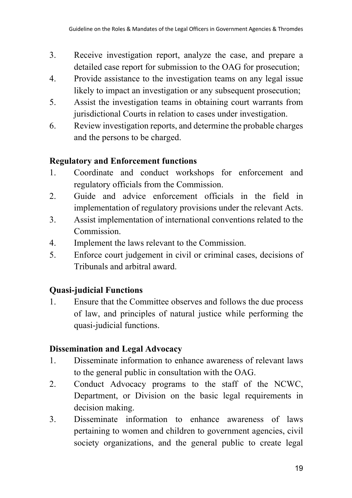- 3. Receive investigation report, analyze the case, and prepare a detailed case report for submission to the OAG for prosecution;
- 4. Provide assistance to the investigation teams on any legal issue likely to impact an investigation or any subsequent prosecution;
- 5. Assist the investigation teams in obtaining court warrants from jurisdictional Courts in relation to cases under investigation.
- 6. Review investigation reports, and determine the probable charges and the persons to be charged.

### **Regulatory and Enforcement functions**

- 1. Coordinate and conduct workshops for enforcement and regulatory officials from the Commission.
- 2. Guide and advice enforcement officials in the field in implementation of regulatory provisions under the relevant Acts.
- 3. Assist implementation of international conventions related to the Commission.
- 4. Implement the laws relevant to the Commission.
- 5. Enforce court judgement in civil or criminal cases, decisions of Tribunals and arbitral award.

# **Quasi-judicial Functions**

1. Ensure that the Committee observes and follows the due process of law, and principles of natural justice while performing the quasi-judicial functions.

# **Dissemination and Legal Advocacy**

- 1. Disseminate information to enhance awareness of relevant laws to the general public in consultation with the OAG.
- 2. Conduct Advocacy programs to the staff of the NCWC, Department, or Division on the basic legal requirements in decision making.
- 3. Disseminate information to enhance awareness of laws pertaining to women and children to government agencies, civil society organizations, and the general public to create legal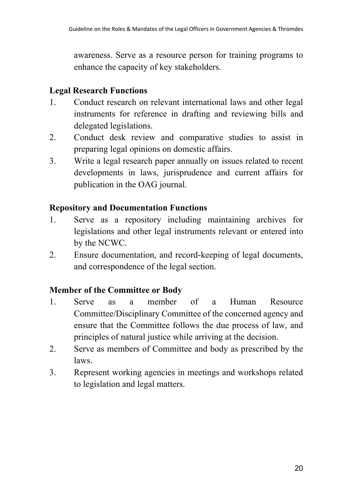awareness. Serve as a resource person for training programs to enhance the capacity of key stakeholders.

# **Legal Research Functions**

- 1. Conduct research on relevant international laws and other legal instruments for reference in drafting and reviewing bills and delegated legislations.
- 2. Conduct desk review and comparative studies to assist in preparing legal opinions on domestic affairs.
- 3. Write a legal research paper annually on issues related to recent developments in laws, jurisprudence and current affairs for publication in the OAG journal.

### **Repository and Documentation Functions**

- 1. Serve as a repository including maintaining archives for legislations and other legal instruments relevant or entered into by the NCWC.
- 2. Ensure documentation, and record-keeping of legal documents, and correspondence of the legal section.

# **Member of the Committee or Body**

- 1. Serve as a member of a Human Resource Committee/Disciplinary Committee of the concerned agency and ensure that the Committee follows the due process of law, and principles of natural justice while arriving at the decision.
- 2. Serve as members of Committee and body as prescribed by the laws.
- 3. Represent working agencies in meetings and workshops related to legislation and legal matters.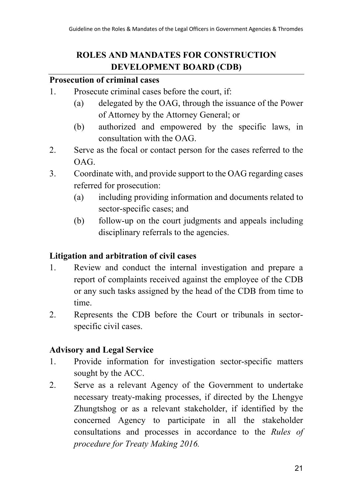# **ROLES AND MANDATES FOR CONSTRUCTION DEVELOPMENT BOARD (CDB)**

#### **Prosecution of criminal cases**

- 1. Prosecute criminal cases before the court, if:
	- (a) delegated by the OAG, through the issuance of the Power of Attorney by the Attorney General; or
	- (b) authorized and empowered by the specific laws, in consultation with the OAG.
- 2. Serve as the focal or contact person for the cases referred to the OAG.
- 3. Coordinate with, and provide support to the OAG regarding cases referred for prosecution:
	- (a) including providing information and documents related to sector-specific cases; and
	- (b) follow-up on the court judgments and appeals including disciplinary referrals to the agencies.

# **Litigation and arbitration of civil cases**

- 1. Review and conduct the internal investigation and prepare a report of complaints received against the employee of the CDB or any such tasks assigned by the head of the CDB from time to time.
- 2. Represents the CDB before the Court or tribunals in sectorspecific civil cases.

# **Advisory and Legal Service**

- 1. Provide information for investigation sector-specific matters sought by the ACC.
- 2. Serve as a relevant Agency of the Government to undertake necessary treaty-making processes, if directed by the Lhengye Zhungtshog or as a relevant stakeholder, if identified by the concerned Agency to participate in all the stakeholder consultations and processes in accordance to the *Rules of procedure for Treaty Making 2016.*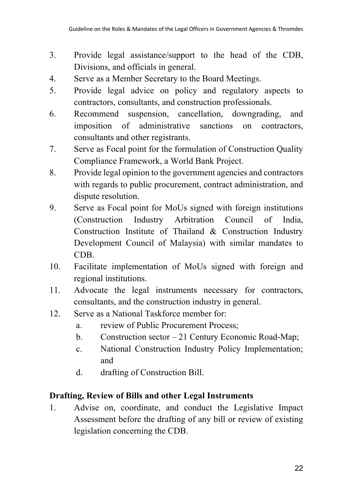- 3. Provide legal assistance/support to the head of the CDB, Divisions, and officials in general.
- 4. Serve as a Member Secretary to the Board Meetings.
- 5. Provide legal advice on policy and regulatory aspects to contractors, consultants, and construction professionals.
- 6. Recommend suspension, cancellation, downgrading, and imposition of administrative sanctions on contractors, consultants and other registrants.
- 7. Serve as Focal point for the formulation of Construction Quality Compliance Framework, a World Bank Project.
- 8. Provide legal opinion to the government agencies and contractors with regards to public procurement, contract administration, and dispute resolution.
- 9. Serve as Focal point for MoUs signed with foreign institutions (Construction Industry Arbitration Council of India, Construction Institute of Thailand & Construction Industry Development Council of Malaysia) with similar mandates to CDB.
- 10. Facilitate implementation of MoUs signed with foreign and regional institutions.
- 11. Advocate the legal instruments necessary for contractors, consultants, and the construction industry in general.
- 12. Serve as a National Taskforce member for:
	- a. review of Public Procurement Process;
	- b. Construction sector 21 Century Economic Road-Map;
	- c. National Construction Industry Policy Implementation; and
	- d. drafting of Construction Bill.

# **Drafting, Review of Bills and other Legal Instruments**

1. Advise on, coordinate, and conduct the Legislative Impact Assessment before the drafting of any bill or review of existing legislation concerning the CDB.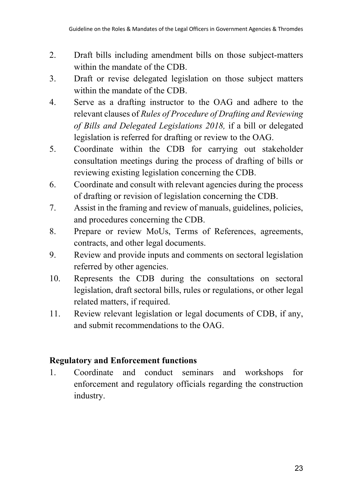- 2. Draft bills including amendment bills on those subject-matters within the mandate of the CDB.
- 3. Draft or revise delegated legislation on those subject matters within the mandate of the CDB.
- 4. Serve as a drafting instructor to the OAG and adhere to the relevant clauses of *Rules of Procedure of Drafting and Reviewing of Bills and Delegated Legislations 2018,* if a bill or delegated legislation is referred for drafting or review to the OAG.
- 5. Coordinate within the CDB for carrying out stakeholder consultation meetings during the process of drafting of bills or reviewing existing legislation concerning the CDB.
- 6. Coordinate and consult with relevant agencies during the process of drafting or revision of legislation concerning the CDB.
- 7. Assist in the framing and review of manuals, guidelines, policies, and procedures concerning the CDB.
- 8. Prepare or review MoUs, Terms of References, agreements, contracts, and other legal documents.
- 9. Review and provide inputs and comments on sectoral legislation referred by other agencies.
- 10. Represents the CDB during the consultations on sectoral legislation, draft sectoral bills, rules or regulations, or other legal related matters, if required.
- 11. Review relevant legislation or legal documents of CDB, if any, and submit recommendations to the OAG.

# **Regulatory and Enforcement functions**

1. Coordinate and conduct seminars and workshops for enforcement and regulatory officials regarding the construction industry.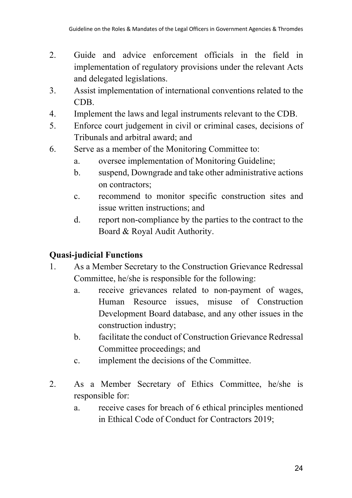- 2. Guide and advice enforcement officials in the field in implementation of regulatory provisions under the relevant Acts and delegated legislations.
- 3. Assist implementation of international conventions related to the CDB.
- 4. Implement the laws and legal instruments relevant to the CDB.
- 5. Enforce court judgement in civil or criminal cases, decisions of Tribunals and arbitral award; and
- 6. Serve as a member of the Monitoring Committee to:
	- a. oversee implementation of Monitoring Guideline;
	- b. suspend, Downgrade and take other administrative actions on contractors;
	- c. recommend to monitor specific construction sites and issue written instructions; and
	- d. report non-compliance by the parties to the contract to the Board & Royal Audit Authority.

# **Quasi-judicial Functions**

- 1. As a Member Secretary to the Construction Grievance Redressal Committee, he/she is responsible for the following:
	- a. receive grievances related to non-payment of wages, Human Resource issues, misuse of Construction Development Board database, and any other issues in the construction industry;
	- b. facilitate the conduct of Construction Grievance Redressal Committee proceedings; and
	- c. implement the decisions of the Committee.
- 2. As a Member Secretary of Ethics Committee, he/she is responsible for:
	- a. receive cases for breach of 6 ethical principles mentioned in Ethical Code of Conduct for Contractors 2019;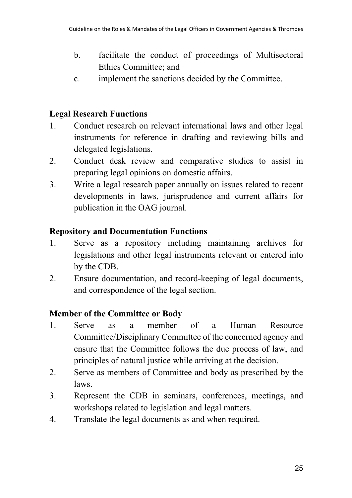- b. facilitate the conduct of proceedings of Multisectoral Ethics Committee; and
- c. implement the sanctions decided by the Committee.

# **Legal Research Functions**

- 1. Conduct research on relevant international laws and other legal instruments for reference in drafting and reviewing bills and delegated legislations.
- 2. Conduct desk review and comparative studies to assist in preparing legal opinions on domestic affairs.
- 3. Write a legal research paper annually on issues related to recent developments in laws, jurisprudence and current affairs for publication in the OAG journal.

# **Repository and Documentation Functions**

- 1. Serve as a repository including maintaining archives for legislations and other legal instruments relevant or entered into by the CDB.
- 2. Ensure documentation, and record-keeping of legal documents, and correspondence of the legal section.

# **Member of the Committee or Body**

- 1. Serve as a member of a Human Resource Committee/Disciplinary Committee of the concerned agency and ensure that the Committee follows the due process of law, and principles of natural justice while arriving at the decision.
- 2. Serve as members of Committee and body as prescribed by the laws.
- 3. Represent the CDB in seminars, conferences, meetings, and workshops related to legislation and legal matters.
- 4. Translate the legal documents as and when required.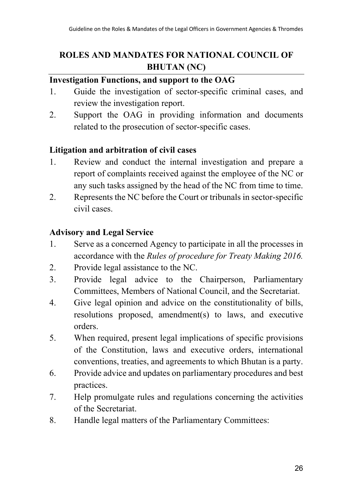# **ROLES AND MANDATES FOR NATIONAL COUNCIL OF BHUTAN (NC)**

### **Investigation Functions, and support to the OAG**

- 1. Guide the investigation of sector-specific criminal cases, and review the investigation report.
- 2. Support the OAG in providing information and documents related to the prosecution of sector-specific cases.

### **Litigation and arbitration of civil cases**

- 1. Review and conduct the internal investigation and prepare a report of complaints received against the employee of the NC or any such tasks assigned by the head of the NC from time to time.
- 2. Represents the NC before the Court or tribunals in sector-specific civil cases.

### **Advisory and Legal Service**

- 1. Serve as a concerned Agency to participate in all the processes in accordance with the *Rules of procedure for Treaty Making 2016.*
- 2. Provide legal assistance to the NC.
- 3. Provide legal advice to the Chairperson, Parliamentary Committees, Members of National Council, and the Secretariat.
- 4. Give legal opinion and advice on the constitutionality of bills, resolutions proposed, amendment(s) to laws, and executive orders.
- 5. When required, present legal implications of specific provisions of the Constitution, laws and executive orders, international conventions, treaties, and agreements to which Bhutan is a party.
- 6. Provide advice and updates on parliamentary procedures and best practices.
- 7. Help promulgate rules and regulations concerning the activities of the Secretariat.
- 8. Handle legal matters of the Parliamentary Committees: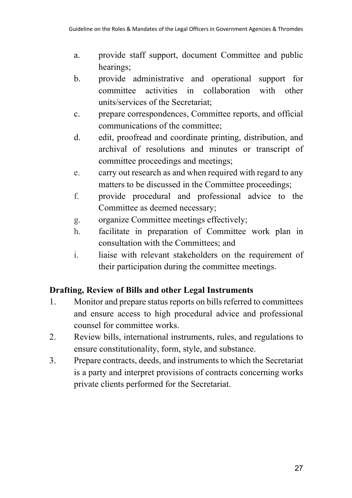- a. provide staff support, document Committee and public hearings;
- b. provide administrative and operational support for committee activities in collaboration with other units/services of the Secretariat;
- c. prepare correspondences, Committee reports, and official communications of the committee;
- d. edit, proofread and coordinate printing, distribution, and archival of resolutions and minutes or transcript of committee proceedings and meetings;
- e. carry out research as and when required with regard to any matters to be discussed in the Committee proceedings;
- f. provide procedural and professional advice to the Committee as deemed necessary;
- g. organize Committee meetings effectively;
- h. facilitate in preparation of Committee work plan in consultation with the Committees; and
- i. liaise with relevant stakeholders on the requirement of their participation during the committee meetings.

# **Drafting, Review of Bills and other Legal Instruments**

- 1. Monitor and prepare status reports on bills referred to committees and ensure access to high procedural advice and professional counsel for committee works.
- 2. Review bills, international instruments, rules, and regulations to ensure constitutionality, form, style, and substance.
- 3. Prepare contracts, deeds, and instruments to which the Secretariat is a party and interpret provisions of contracts concerning works private clients performed for the Secretariat.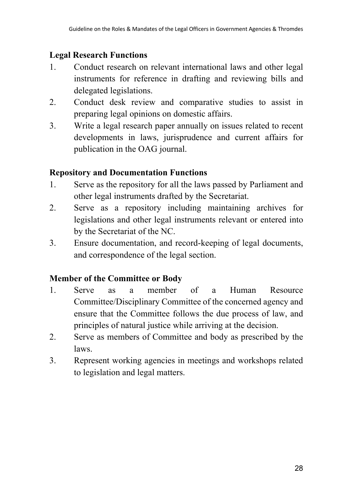### **Legal Research Functions**

- 1. Conduct research on relevant international laws and other legal instruments for reference in drafting and reviewing bills and delegated legislations.
- 2. Conduct desk review and comparative studies to assist in preparing legal opinions on domestic affairs.
- 3. Write a legal research paper annually on issues related to recent developments in laws, jurisprudence and current affairs for publication in the OAG journal.

### **Repository and Documentation Functions**

- 1. Serve as the repository for all the laws passed by Parliament and other legal instruments drafted by the Secretariat.
- 2. Serve as a repository including maintaining archives for legislations and other legal instruments relevant or entered into by the Secretariat of the NC.
- 3. Ensure documentation, and record-keeping of legal documents, and correspondence of the legal section.

# **Member of the Committee or Body**

- 1. Serve as a member of a Human Resource Committee/Disciplinary Committee of the concerned agency and ensure that the Committee follows the due process of law, and principles of natural justice while arriving at the decision.
- 2. Serve as members of Committee and body as prescribed by the laws.
- 3. Represent working agencies in meetings and workshops related to legislation and legal matters.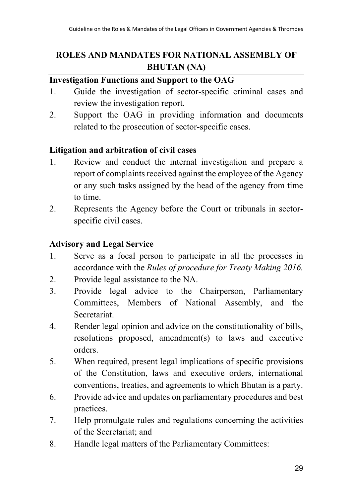# **ROLES AND MANDATES FOR NATIONAL ASSEMBLY OF BHUTAN (NA)**

# **Investigation Functions and Support to the OAG**

- 1. Guide the investigation of sector-specific criminal cases and review the investigation report.
- 2. Support the OAG in providing information and documents related to the prosecution of sector-specific cases.

### **Litigation and arbitration of civil cases**

- 1. Review and conduct the internal investigation and prepare a report of complaints received against the employee of the Agency or any such tasks assigned by the head of the agency from time to time.
- 2. Represents the Agency before the Court or tribunals in sectorspecific civil cases.

#### **Advisory and Legal Service**

- 1. Serve as a focal person to participate in all the processes in accordance with the *Rules of procedure for Treaty Making 2016.*
- 2. Provide legal assistance to the NA.
- 3. Provide legal advice to the Chairperson, Parliamentary Committees, Members of National Assembly, and the Secretariat.
- 4. Render legal opinion and advice on the constitutionality of bills, resolutions proposed, amendment(s) to laws and executive orders.
- 5. When required, present legal implications of specific provisions of the Constitution, laws and executive orders, international conventions, treaties, and agreements to which Bhutan is a party.
- 6. Provide advice and updates on parliamentary procedures and best practices.
- 7. Help promulgate rules and regulations concerning the activities of the Secretariat; and
- 8. Handle legal matters of the Parliamentary Committees: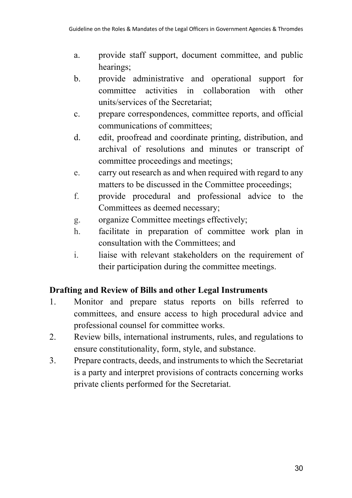- a. provide staff support, document committee, and public hearings;
- b. provide administrative and operational support for committee activities in collaboration with other units/services of the Secretariat;
- c. prepare correspondences, committee reports, and official communications of committees;
- d. edit, proofread and coordinate printing, distribution, and archival of resolutions and minutes or transcript of committee proceedings and meetings;
- e. carry out research as and when required with regard to any matters to be discussed in the Committee proceedings;
- f. provide procedural and professional advice to the Committees as deemed necessary;
- g. organize Committee meetings effectively;
- h. facilitate in preparation of committee work plan in consultation with the Committees; and
- i. liaise with relevant stakeholders on the requirement of their participation during the committee meetings.

# **Drafting and Review of Bills and other Legal Instruments**

- 1. Monitor and prepare status reports on bills referred to committees, and ensure access to high procedural advice and professional counsel for committee works.
- 2. Review bills, international instruments, rules, and regulations to ensure constitutionality, form, style, and substance.
- 3. Prepare contracts, deeds, and instruments to which the Secretariat is a party and interpret provisions of contracts concerning works private clients performed for the Secretariat.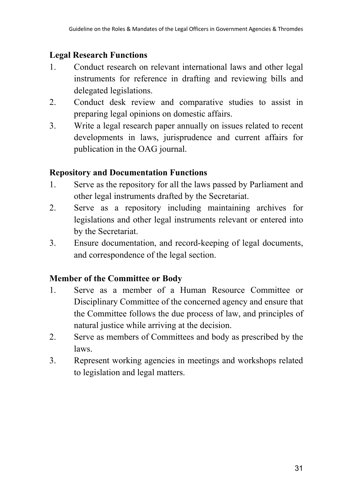### **Legal Research Functions**

- 1. Conduct research on relevant international laws and other legal instruments for reference in drafting and reviewing bills and delegated legislations.
- 2. Conduct desk review and comparative studies to assist in preparing legal opinions on domestic affairs.
- 3. Write a legal research paper annually on issues related to recent developments in laws, jurisprudence and current affairs for publication in the OAG journal.

### **Repository and Documentation Functions**

- 1. Serve as the repository for all the laws passed by Parliament and other legal instruments drafted by the Secretariat.
- 2. Serve as a repository including maintaining archives for legislations and other legal instruments relevant or entered into by the Secretariat.
- 3. Ensure documentation, and record-keeping of legal documents, and correspondence of the legal section.

# **Member of the Committee or Body**

- 1. Serve as a member of a Human Resource Committee or Disciplinary Committee of the concerned agency and ensure that the Committee follows the due process of law, and principles of natural justice while arriving at the decision.
- 2. Serve as members of Committees and body as prescribed by the laws.
- 3. Represent working agencies in meetings and workshops related to legislation and legal matters.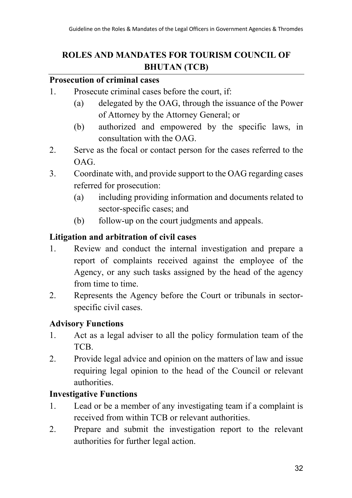# **ROLES AND MANDATES FOR TOURISM COUNCIL OF BHUTAN (TCB)**

#### **Prosecution of criminal cases**

- 1. Prosecute criminal cases before the court, if:
	- (a) delegated by the OAG, through the issuance of the Power of Attorney by the Attorney General; or
	- (b) authorized and empowered by the specific laws, in consultation with the OAG.
- 2. Serve as the focal or contact person for the cases referred to the OAG.
- 3. Coordinate with, and provide support to the OAG regarding cases referred for prosecution:
	- (a) including providing information and documents related to sector-specific cases; and
	- (b) follow-up on the court judgments and appeals.

### **Litigation and arbitration of civil cases**

- 1. Review and conduct the internal investigation and prepare a report of complaints received against the employee of the Agency, or any such tasks assigned by the head of the agency from time to time.
- 2. Represents the Agency before the Court or tribunals in sectorspecific civil cases.

#### **Advisory Functions**

- 1. Act as a legal adviser to all the policy formulation team of the TCB.
- 2. Provide legal advice and opinion on the matters of law and issue requiring legal opinion to the head of the Council or relevant authorities.

#### **Investigative Functions**

- 1. Lead or be a member of any investigating team if a complaint is received from within TCB or relevant authorities.
- 2. Prepare and submit the investigation report to the relevant authorities for further legal action.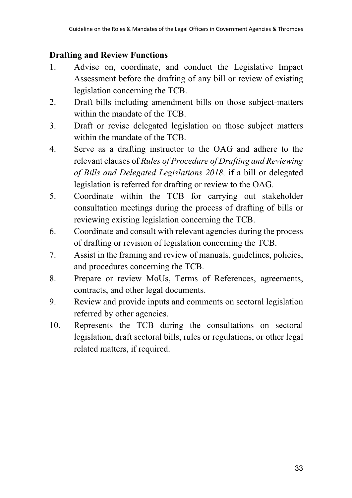# **Drafting and Review Functions**

- 1. Advise on, coordinate, and conduct the Legislative Impact Assessment before the drafting of any bill or review of existing legislation concerning the TCB.
- 2. Draft bills including amendment bills on those subject-matters within the mandate of the TCB.
- 3. Draft or revise delegated legislation on those subject matters within the mandate of the TCB.
- 4. Serve as a drafting instructor to the OAG and adhere to the relevant clauses of *Rules of Procedure of Drafting and Reviewing of Bills and Delegated Legislations 2018,* if a bill or delegated legislation is referred for drafting or review to the OAG.
- 5. Coordinate within the TCB for carrying out stakeholder consultation meetings during the process of drafting of bills or reviewing existing legislation concerning the TCB.
- 6. Coordinate and consult with relevant agencies during the process of drafting or revision of legislation concerning the TCB.
- 7. Assist in the framing and review of manuals, guidelines, policies, and procedures concerning the TCB.
- 8. Prepare or review MoUs, Terms of References, agreements, contracts, and other legal documents.
- 9. Review and provide inputs and comments on sectoral legislation referred by other agencies.
- 10. Represents the TCB during the consultations on sectoral legislation, draft sectoral bills, rules or regulations, or other legal related matters, if required.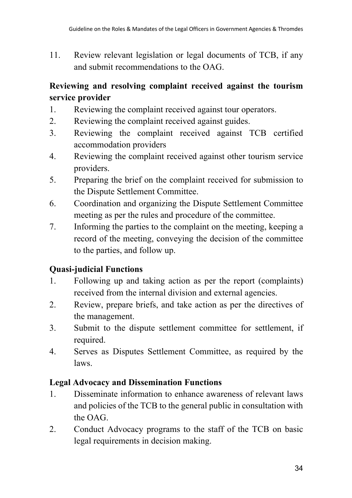11. Review relevant legislation or legal documents of TCB, if any and submit recommendations to the OAG.

# **Reviewing and resolving complaint received against the tourism service provider**

- 1. Reviewing the complaint received against tour operators.
- 2. Reviewing the complaint received against guides.
- 3. Reviewing the complaint received against TCB certified accommodation providers
- 4. Reviewing the complaint received against other tourism service providers.
- 5. Preparing the brief on the complaint received for submission to the Dispute Settlement Committee.
- 6. Coordination and organizing the Dispute Settlement Committee meeting as per the rules and procedure of the committee.
- 7. Informing the parties to the complaint on the meeting, keeping a record of the meeting, conveying the decision of the committee to the parties, and follow up.

# **Quasi-judicial Functions**

- 1. Following up and taking action as per the report (complaints) received from the internal division and external agencies.
- 2. Review, prepare briefs, and take action as per the directives of the management.
- 3. Submit to the dispute settlement committee for settlement, if required.
- 4. Serves as Disputes Settlement Committee, as required by the laws.

# **Legal Advocacy and Dissemination Functions**

- 1. Disseminate information to enhance awareness of relevant laws and policies of the TCB to the general public in consultation with the OAG.
- 2. Conduct Advocacy programs to the staff of the TCB on basic legal requirements in decision making.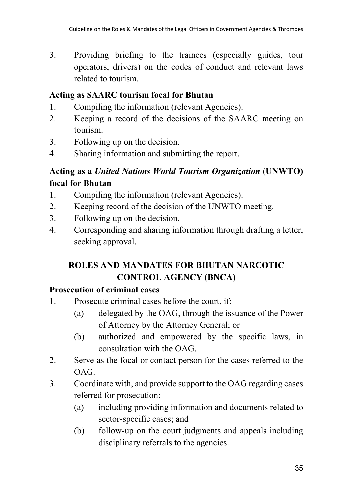3. Providing briefing to the trainees (especially guides, tour operators, drivers) on the codes of conduct and relevant laws related to tourism.

#### **Acting as SAARC tourism focal for Bhutan**

- 1. Compiling the information (relevant Agencies).
- 2. Keeping a record of the decisions of the SAARC meeting on tourism.
- 3. Following up on the decision.
- 4. Sharing information and submitting the report.

# **Acting as a** *United Nations World Tourism Organization* **(UNWTO) focal for Bhutan**

- 1. Compiling the information (relevant Agencies).
- 2. Keeping record of the decision of the UNWTO meeting.
- 3. Following up on the decision.
- 4. Corresponding and sharing information through drafting a letter, seeking approval.

# **ROLES AND MANDATES FOR BHUTAN NARCOTIC CONTROL AGENCY (BNCA)**

#### **Prosecution of criminal cases**

- 1. Prosecute criminal cases before the court, if:
	- (a) delegated by the OAG, through the issuance of the Power of Attorney by the Attorney General; or
	- (b) authorized and empowered by the specific laws, in consultation with the OAG.
- 2. Serve as the focal or contact person for the cases referred to the OAG.
- 3. Coordinate with, and provide support to the OAG regarding cases referred for prosecution:
	- (a) including providing information and documents related to sector-specific cases; and
	- (b) follow-up on the court judgments and appeals including disciplinary referrals to the agencies.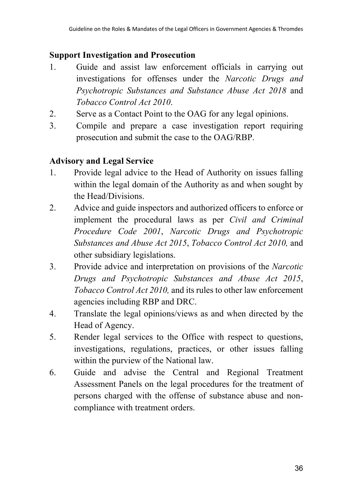#### **Support Investigation and Prosecution**

- 1. Guide and assist law enforcement officials in carrying out investigations for offenses under the *Narcotic Drugs and Psychotropic Substances and Substance Abuse Act 2018* and *Tobacco Control Act 2010*.
- 2. Serve as a Contact Point to the OAG for any legal opinions.
- 3. Compile and prepare a case investigation report requiring prosecution and submit the case to the OAG/RBP.

#### **Advisory and Legal Service**

- 1. Provide legal advice to the Head of Authority on issues falling within the legal domain of the Authority as and when sought by the Head/Divisions.
- 2. Advice and guide inspectors and authorized officers to enforce or implement the procedural laws as per *Civil and Criminal Procedure Code 2001*, *Narcotic Drugs and Psychotropic Substances and Abuse Act 2015*, *Tobacco Control Act 2010,* and other subsidiary legislations.
- 3. Provide advice and interpretation on provisions of the *Narcotic Drugs and Psychotropic Substances and Abuse Act 2015*, *Tobacco Control Act 2010,* and its rules to other law enforcement agencies including RBP and DRC.
- 4. Translate the legal opinions/views as and when directed by the Head of Agency.
- 5. Render legal services to the Office with respect to questions, investigations, regulations, practices, or other issues falling within the purview of the National law.
- 6. Guide and advise the Central and Regional Treatment Assessment Panels on the legal procedures for the treatment of persons charged with the offense of substance abuse and noncompliance with treatment orders.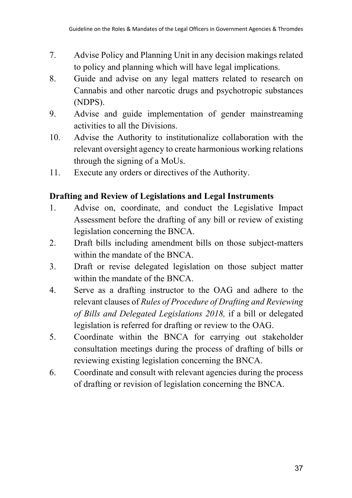- 7. Advise Policy and Planning Unit in any decision makings related to policy and planning which will have legal implications.
- 8. Guide and advise on any legal matters related to research on Cannabis and other narcotic drugs and psychotropic substances (NDPS).
- 9. Advise and guide implementation of gender mainstreaming activities to all the Divisions.
- 10. Advise the Authority to institutionalize collaboration with the relevant oversight agency to create harmonious working relations through the signing of a MoUs.
- 11. Execute any orders or directives of the Authority.

#### **Drafting and Review of Legislations and Legal Instruments**

- 1. Advise on, coordinate, and conduct the Legislative Impact Assessment before the drafting of any bill or review of existing legislation concerning the BNCA.
- 2. Draft bills including amendment bills on those subject-matters within the mandate of the BNCA.
- 3. Draft or revise delegated legislation on those subject matter within the mandate of the BNCA.
- 4. Serve as a drafting instructor to the OAG and adhere to the relevant clauses of *Rules of Procedure of Drafting and Reviewing of Bills and Delegated Legislations 2018,* if a bill or delegated legislation is referred for drafting or review to the OAG.
- 5. Coordinate within the BNCA for carrying out stakeholder consultation meetings during the process of drafting of bills or reviewing existing legislation concerning the BNCA.
- 6. Coordinate and consult with relevant agencies during the process of drafting or revision of legislation concerning the BNCA.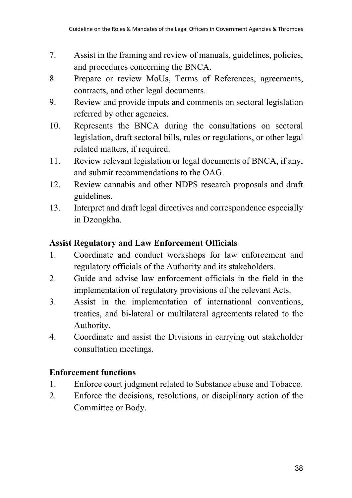- 7. Assist in the framing and review of manuals, guidelines, policies, and procedures concerning the BNCA.
- 8. Prepare or review MoUs, Terms of References, agreements, contracts, and other legal documents.
- 9. Review and provide inputs and comments on sectoral legislation referred by other agencies.
- 10. Represents the BNCA during the consultations on sectoral legislation, draft sectoral bills, rules or regulations, or other legal related matters, if required.
- 11. Review relevant legislation or legal documents of BNCA, if any, and submit recommendations to the OAG.
- 12. Review cannabis and other NDPS research proposals and draft guidelines.
- 13. Interpret and draft legal directives and correspondence especially in Dzongkha.

### **Assist Regulatory and Law Enforcement Officials**

- 1. Coordinate and conduct workshops for law enforcement and regulatory officials of the Authority and its stakeholders.
- 2. Guide and advise law enforcement officials in the field in the implementation of regulatory provisions of the relevant Acts.
- 3. Assist in the implementation of international conventions, treaties, and bi-lateral or multilateral agreements related to the Authority.
- 4. Coordinate and assist the Divisions in carrying out stakeholder consultation meetings.

# **Enforcement functions**

- 1. Enforce court judgment related to Substance abuse and Tobacco.
- 2. Enforce the decisions, resolutions, or disciplinary action of the Committee or Body.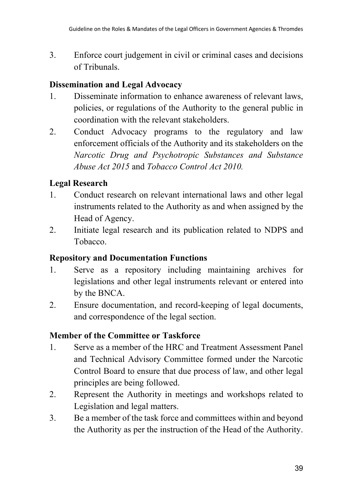3. Enforce court judgement in civil or criminal cases and decisions of Tribunals.

#### **Dissemination and Legal Advocacy**

- 1. Disseminate information to enhance awareness of relevant laws, policies, or regulations of the Authority to the general public in coordination with the relevant stakeholders.
- 2. Conduct Advocacy programs to the regulatory and law enforcement officials of the Authority and its stakeholders on the *Narcotic Drug and Psychotropic Substances and Substance Abuse Act 2015* and *Tobacco Control Act 2010.*

# **Legal Research**

- 1. Conduct research on relevant international laws and other legal instruments related to the Authority as and when assigned by the Head of Agency.
- 2. Initiate legal research and its publication related to NDPS and Tobacco.

#### **Repository and Documentation Functions**

- 1. Serve as a repository including maintaining archives for legislations and other legal instruments relevant or entered into by the BNCA.
- 2. Ensure documentation, and record-keeping of legal documents, and correspondence of the legal section.

#### **Member of the Committee or Taskforce**

- 1. Serve as a member of the HRC and Treatment Assessment Panel and Technical Advisory Committee formed under the Narcotic Control Board to ensure that due process of law, and other legal principles are being followed.
- 2. Represent the Authority in meetings and workshops related to Legislation and legal matters.
- 3. Be a member of the task force and committees within and beyond the Authority as per the instruction of the Head of the Authority.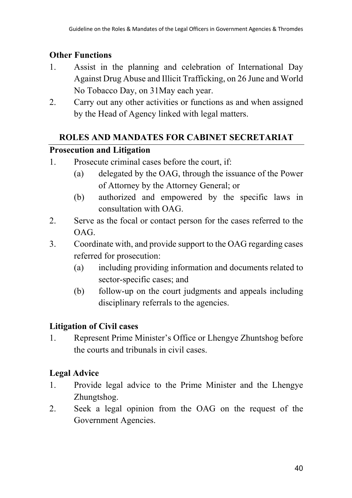## **Other Functions**

- 1. Assist in the planning and celebration of International Day Against Drug Abuse and Illicit Trafficking, on 26 June and World No Tobacco Day, on 31May each year.
- 2. Carry out any other activities or functions as and when assigned by the Head of Agency linked with legal matters.

### **ROLES AND MANDATES FOR CABINET SECRETARIAT**

### **Prosecution and Litigation**

- 1. Prosecute criminal cases before the court, if:
	- (a) delegated by the OAG, through the issuance of the Power of Attorney by the Attorney General; or
	- (b) authorized and empowered by the specific laws in consultation with OAG.
- 2. Serve as the focal or contact person for the cases referred to the OAG.
- 3. Coordinate with, and provide support to the OAG regarding cases referred for prosecution:
	- (a) including providing information and documents related to sector-specific cases; and
	- (b) follow-up on the court judgments and appeals including disciplinary referrals to the agencies.

# **Litigation of Civil cases**

1. Represent Prime Minister's Office or Lhengye Zhuntshog before the courts and tribunals in civil cases.

# **Legal Advice**

- 1. Provide legal advice to the Prime Minister and the Lhengye Zhungtshog.
- 2. Seek a legal opinion from the OAG on the request of the Government Agencies.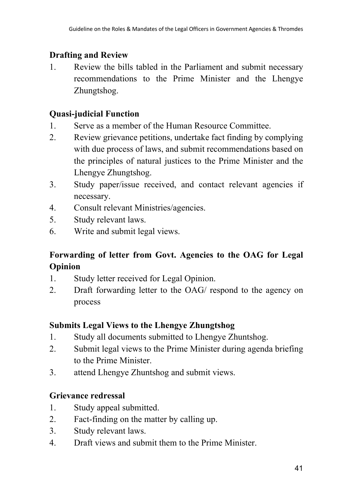### **Drafting and Review**

1. Review the bills tabled in the Parliament and submit necessary recommendations to the Prime Minister and the Lhengye Zhungtshog.

## **Quasi-judicial Function**

- 1. Serve as a member of the Human Resource Committee.
- 2. Review grievance petitions, undertake fact finding by complying with due process of laws, and submit recommendations based on the principles of natural justices to the Prime Minister and the Lhengye Zhungtshog.
- 3. Study paper/issue received, and contact relevant agencies if necessary.
- 4. Consult relevant Ministries/agencies.
- 5. Study relevant laws.
- 6. Write and submit legal views.

# **Forwarding of letter from Govt. Agencies to the OAG for Legal Opinion**

- 1. Study letter received for Legal Opinion.
- 2. Draft forwarding letter to the OAG/ respond to the agency on process

# **Submits Legal Views to the Lhengye Zhungtshog**

- 1. Study all documents submitted to Lhengye Zhuntshog.
- 2. Submit legal views to the Prime Minister during agenda briefing to the Prime Minister.
- 3. attend Lhengye Zhuntshog and submit views.

# **Grievance redressal**

- 1. Study appeal submitted.
- 2. Fact-finding on the matter by calling up.
- 3. Study relevant laws.
- 4. Draft views and submit them to the Prime Minister.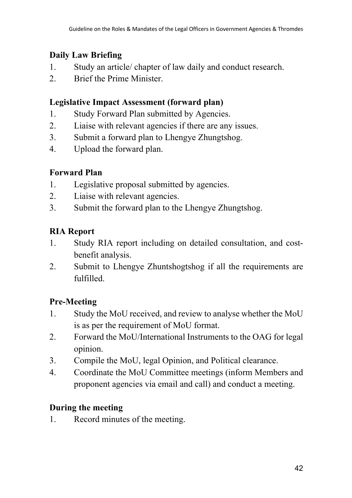# **Daily Law Briefing**

- 1. Study an article/ chapter of law daily and conduct research.
- 2. Brief the Prime Minister.

# **Legislative Impact Assessment (forward plan)**

- 1. Study Forward Plan submitted by Agencies.
- 2. Liaise with relevant agencies if there are any issues.
- 3. Submit a forward plan to Lhengye Zhungtshog.
- 4. Upload the forward plan.

# **Forward Plan**

- 1. Legislative proposal submitted by agencies.
- 2. Liaise with relevant agencies.
- 3. Submit the forward plan to the Lhengye Zhungtshog.

# **RIA Report**

- 1. Study RIA report including on detailed consultation, and costbenefit analysis.
- 2. Submit to Lhengye Zhuntshogtshog if all the requirements are fulfilled.

# **Pre-Meeting**

- 1. Study the MoU received, and review to analyse whether the MoU is as per the requirement of MoU format.
- 2. Forward the MoU/International Instruments to the OAG for legal opinion.
- 3. Compile the MoU, legal Opinion, and Political clearance.
- 4. Coordinate the MoU Committee meetings (inform Members and proponent agencies via email and call) and conduct a meeting.

# **During the meeting**

1. Record minutes of the meeting.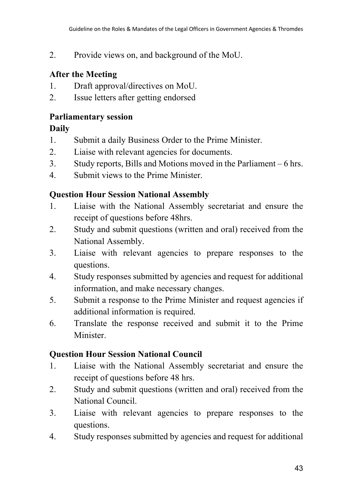2. Provide views on, and background of the MoU.

### **After the Meeting**

- 1. Draft approval/directives on MoU.
- 2. Issue letters after getting endorsed

## **Parliamentary session**

### **Daily**

- 1. Submit a daily Business Order to the Prime Minister.
- 2. Liaise with relevant agencies for documents.
- 3. Study reports, Bills and Motions moved in the Parliament 6 hrs.
- 4. Submit views to the Prime Minister.

### **Question Hour Session National Assembly**

- 1. Liaise with the National Assembly secretariat and ensure the receipt of questions before 48hrs.
- 2. Study and submit questions (written and oral) received from the National Assembly.
- 3. Liaise with relevant agencies to prepare responses to the questions.
- 4. Study responses submitted by agencies and request for additional information, and make necessary changes.
- 5. Submit a response to the Prime Minister and request agencies if additional information is required.
- 6. Translate the response received and submit it to the Prime Minister.

# **Question Hour Session National Council**

- 1. Liaise with the National Assembly secretariat and ensure the receipt of questions before 48 hrs.
- 2. Study and submit questions (written and oral) received from the National Council.
- 3. Liaise with relevant agencies to prepare responses to the questions.
- 4. Study responses submitted by agencies and request for additional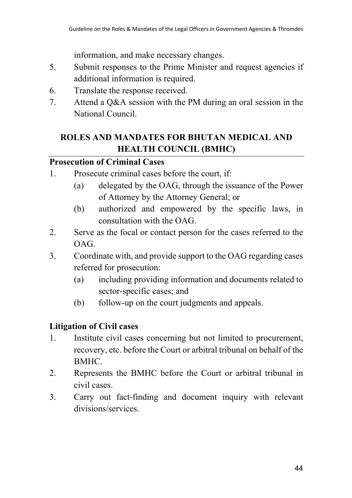information, and make necessary changes.

- 5. Submit responses to the Prime Minister and request agencies if additional information is required.
- 6. Translate the response received.
- 7. Attend a Q&A session with the PM during an oral session in the National Council.

# **ROLES AND MANDATES FOR BHUTAN MEDICAL AND HEALTH COUNCIL (BMHC)**

# **Prosecution of Criminal Cases**

- 1. Prosecute criminal cases before the court, if:
	- (a) delegated by the OAG, through the issuance of the Power of Attorney by the Attorney General; or
	- (b) authorized and empowered by the specific laws, in consultation with the OAG.
- 2. Serve as the focal or contact person for the cases referred to the OAG.
- 3. Coordinate with, and provide support to the OAG regarding cases referred for prosecution:
	- (a) including providing information and documents related to sector-specific cases; and
	- (b) follow-up on the court judgments and appeals.

# **Litigation of Civil cases**

- 1. Institute civil cases concerning but not limited to procurement, recovery, etc. before the Court or arbitral tribunal on behalf of the BMHC.
- 2. Represents the BMHC before the Court or arbitral tribunal in civil cases.
- 3. Carry out fact-finding and document inquiry with relevant divisions/services.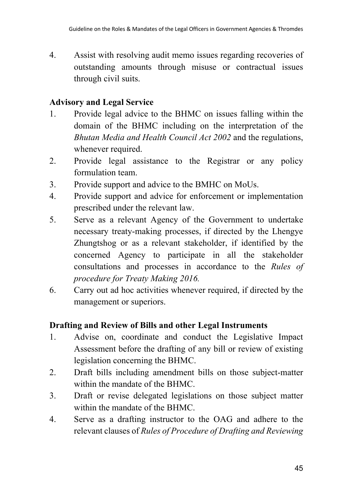4. Assist with resolving audit memo issues regarding recoveries of outstanding amounts through misuse or contractual issues through civil suits.

### **Advisory and Legal Service**

- 1. Provide legal advice to the BHMC on issues falling within the domain of the BHMC including on the interpretation of the *Bhutan Media and Health Council Act 2002* and the regulations, whenever required.
- 2. Provide legal assistance to the Registrar or any policy formulation team.
- 3. Provide support and advice to the BMHC on MoUs.
- 4. Provide support and advice for enforcement or implementation prescribed under the relevant law.
- 5. Serve as a relevant Agency of the Government to undertake necessary treaty-making processes, if directed by the Lhengye Zhungtshog or as a relevant stakeholder, if identified by the concerned Agency to participate in all the stakeholder consultations and processes in accordance to the *Rules of procedure for Treaty Making 2016.*
- 6. Carry out ad hoc activities whenever required, if directed by the management or superiors.

# **Drafting and Review of Bills and other Legal Instruments**

- 1. Advise on, coordinate and conduct the Legislative Impact Assessment before the drafting of any bill or review of existing legislation concerning the BHMC.
- 2. Draft bills including amendment bills on those subject-matter within the mandate of the BHMC.
- 3. Draft or revise delegated legislations on those subject matter within the mandate of the BHMC.
- 4. Serve as a drafting instructor to the OAG and adhere to the relevant clauses of *Rules of Procedure of Drafting and Reviewing*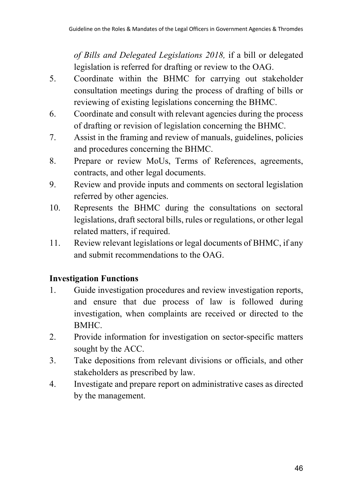*of Bills and Delegated Legislations 2018,* if a bill or delegated legislation is referred for drafting or review to the OAG.

- 5. Coordinate within the BHMC for carrying out stakeholder consultation meetings during the process of drafting of bills or reviewing of existing legislations concerning the BHMC.
- 6. Coordinate and consult with relevant agencies during the process of drafting or revision of legislation concerning the BHMC.
- 7. Assist in the framing and review of manuals, guidelines, policies and procedures concerning the BHMC.
- 8. Prepare or review MoUs, Terms of References, agreements, contracts, and other legal documents.
- 9. Review and provide inputs and comments on sectoral legislation referred by other agencies.
- 10. Represents the BHMC during the consultations on sectoral legislations, draft sectoral bills, rules or regulations, or other legal related matters, if required.
- 11. Review relevant legislations or legal documents of BHMC, if any and submit recommendations to the OAG.

# **Investigation Functions**

- 1. Guide investigation procedures and review investigation reports, and ensure that due process of law is followed during investigation, when complaints are received or directed to the BMHC.
- 2. Provide information for investigation on sector-specific matters sought by the ACC.
- 3. Take depositions from relevant divisions or officials, and other stakeholders as prescribed by law.
- 4. Investigate and prepare report on administrative cases as directed by the management.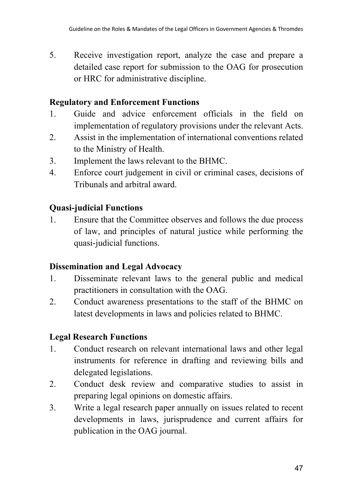5. Receive investigation report, analyze the case and prepare a detailed case report for submission to the OAG for prosecution or HRC for administrative discipline.

#### **Regulatory and Enforcement Functions**

- 1. Guide and advice enforcement officials in the field on implementation of regulatory provisions under the relevant Acts.
- 2. Assist in the implementation of international conventions related to the Ministry of Health.
- 3. Implement the laws relevant to the BHMC.
- 4. Enforce court judgement in civil or criminal cases, decisions of Tribunals and arbitral award.

#### **Quasi-judicial Functions**

1. Ensure that the Committee observes and follows the due process of law, and principles of natural justice while performing the quasi-judicial functions.

#### **Dissemination and Legal Advocacy**

- 1. Disseminate relevant laws to the general public and medical practitioners in consultation with the OAG.
- 2. Conduct awareness presentations to the staff of the BHMC on latest developments in laws and policies related to BHMC.

#### **Legal Research Functions**

- 1. Conduct research on relevant international laws and other legal instruments for reference in drafting and reviewing bills and delegated legislations.
- 2. Conduct desk review and comparative studies to assist in preparing legal opinions on domestic affairs.
- 3. Write a legal research paper annually on issues related to recent developments in laws, jurisprudence and current affairs for publication in the OAG journal.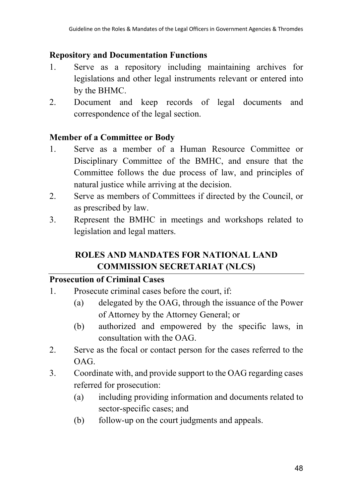#### **Repository and Documentation Functions**

- 1. Serve as a repository including maintaining archives for legislations and other legal instruments relevant or entered into by the BHMC.
- 2. Document and keep records of legal documents and correspondence of the legal section.

### **Member of a Committee or Body**

- 1. Serve as a member of a Human Resource Committee or Disciplinary Committee of the BMHC, and ensure that the Committee follows the due process of law, and principles of natural justice while arriving at the decision.
- 2. Serve as members of Committees if directed by the Council, or as prescribed by law.
- 3. Represent the BMHC in meetings and workshops related to legislation and legal matters.

# **ROLES AND MANDATES FOR NATIONAL LAND COMMISSION SECRETARIAT (NLCS)**

#### **Prosecution of Criminal Cases**

- 1. Prosecute criminal cases before the court, if:
	- (a) delegated by the OAG, through the issuance of the Power of Attorney by the Attorney General; or
	- (b) authorized and empowered by the specific laws, in consultation with the OAG.
- 2. Serve as the focal or contact person for the cases referred to the OAG.
- 3. Coordinate with, and provide support to the OAG regarding cases referred for prosecution:
	- (a) including providing information and documents related to sector-specific cases; and
	- (b) follow-up on the court judgments and appeals.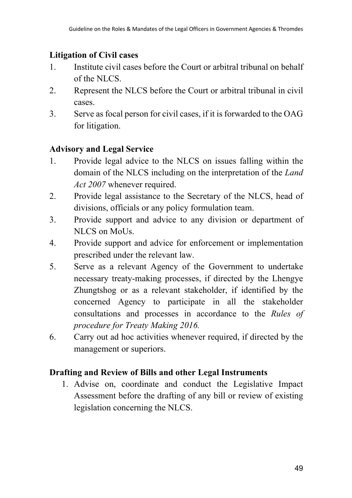# **Litigation of Civil cases**

- 1. Institute civil cases before the Court or arbitral tribunal on behalf of the NLCS.
- 2. Represent the NLCS before the Court or arbitral tribunal in civil cases.
- 3. Serve as focal person for civil cases, if it is forwarded to the OAG for litigation.

# **Advisory and Legal Service**

- 1. Provide legal advice to the NLCS on issues falling within the domain of the NLCS including on the interpretation of the *Land Act 2007* whenever required.
- 2. Provide legal assistance to the Secretary of the NLCS, head of divisions, officials or any policy formulation team.
- 3. Provide support and advice to any division or department of NLCS on MoUs.
- 4. Provide support and advice for enforcement or implementation prescribed under the relevant law.
- 5. Serve as a relevant Agency of the Government to undertake necessary treaty-making processes, if directed by the Lhengye Zhungtshog or as a relevant stakeholder, if identified by the concerned Agency to participate in all the stakeholder consultations and processes in accordance to the *Rules of procedure for Treaty Making 2016.*
- 6. Carry out ad hoc activities whenever required, if directed by the management or superiors.

# **Drafting and Review of Bills and other Legal Instruments**

1. Advise on, coordinate and conduct the Legislative Impact Assessment before the drafting of any bill or review of existing legislation concerning the NLCS.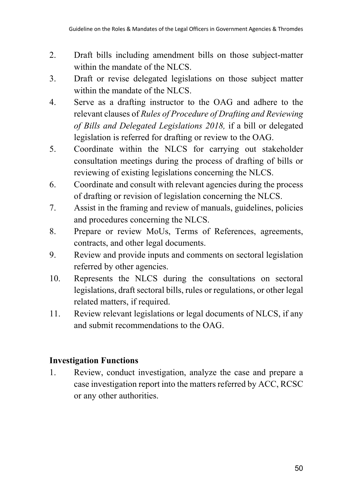- 2. Draft bills including amendment bills on those subject-matter within the mandate of the NLCS.
- 3. Draft or revise delegated legislations on those subject matter within the mandate of the NLCS.
- 4. Serve as a drafting instructor to the OAG and adhere to the relevant clauses of *Rules of Procedure of Drafting and Reviewing of Bills and Delegated Legislations 2018,* if a bill or delegated legislation is referred for drafting or review to the OAG.
- 5. Coordinate within the NLCS for carrying out stakeholder consultation meetings during the process of drafting of bills or reviewing of existing legislations concerning the NLCS.
- 6. Coordinate and consult with relevant agencies during the process of drafting or revision of legislation concerning the NLCS.
- 7. Assist in the framing and review of manuals, guidelines, policies and procedures concerning the NLCS.
- 8. Prepare or review MoUs, Terms of References, agreements, contracts, and other legal documents.
- 9. Review and provide inputs and comments on sectoral legislation referred by other agencies.
- 10. Represents the NLCS during the consultations on sectoral legislations, draft sectoral bills, rules or regulations, or other legal related matters, if required.
- 11. Review relevant legislations or legal documents of NLCS, if any and submit recommendations to the OAG.

# **Investigation Functions**

1. Review, conduct investigation, analyze the case and prepare a case investigation report into the matters referred by ACC, RCSC or any other authorities.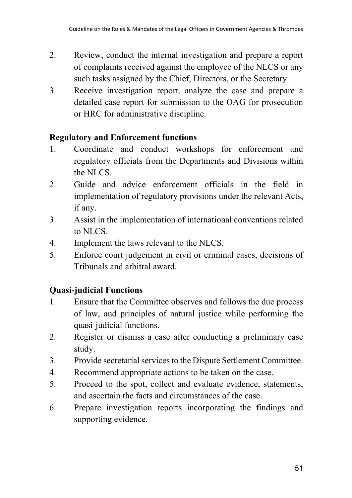- 2. Review, conduct the internal investigation and prepare a report of complaints received against the employee of the NLCS or any such tasks assigned by the Chief, Directors, or the Secretary.
- 3. Receive investigation report, analyze the case and prepare a detailed case report for submission to the OAG for prosecution or HRC for administrative discipline.

### **Regulatory and Enforcement functions**

- 1. Coordinate and conduct workshops for enforcement and regulatory officials from the Departments and Divisions within the NLCS.
- 2. Guide and advice enforcement officials in the field in implementation of regulatory provisions under the relevant Acts, if any.
- 3. Assist in the implementation of international conventions related to NLCS.
- 4. Implement the laws relevant to the NLCS.
- 5. Enforce court judgement in civil or criminal cases, decisions of Tribunals and arbitral award.

# **Quasi-judicial Functions**

- 1. Ensure that the Committee observes and follows the due process of law, and principles of natural justice while performing the quasi-judicial functions.
- 2. Register or dismiss a case after conducting a preliminary case study.
- 3. Provide secretarial services to the Dispute Settlement Committee.
- 4. Recommend appropriate actions to be taken on the case.
- 5. Proceed to the spot, collect and evaluate evidence, statements, and ascertain the facts and circumstances of the case.
- 6. Prepare investigation reports incorporating the findings and supporting evidence.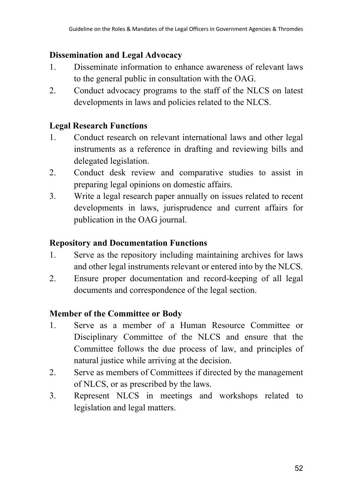#### **Dissemination and Legal Advocacy**

- 1. Disseminate information to enhance awareness of relevant laws to the general public in consultation with the OAG.
- 2. Conduct advocacy programs to the staff of the NLCS on latest developments in laws and policies related to the NLCS.

#### **Legal Research Functions**

- 1. Conduct research on relevant international laws and other legal instruments as a reference in drafting and reviewing bills and delegated legislation.
- 2. Conduct desk review and comparative studies to assist in preparing legal opinions on domestic affairs.
- 3. Write a legal research paper annually on issues related to recent developments in laws, jurisprudence and current affairs for publication in the OAG journal.

#### **Repository and Documentation Functions**

- 1. Serve as the repository including maintaining archives for laws and other legal instruments relevant or entered into by the NLCS.
- 2. Ensure proper documentation and record-keeping of all legal documents and correspondence of the legal section.

#### **Member of the Committee or Body**

- 1. Serve as a member of a Human Resource Committee or Disciplinary Committee of the NLCS and ensure that the Committee follows the due process of law, and principles of natural justice while arriving at the decision.
- 2. Serve as members of Committees if directed by the management of NLCS, or as prescribed by the laws.
- 3. Represent NLCS in meetings and workshops related to legislation and legal matters.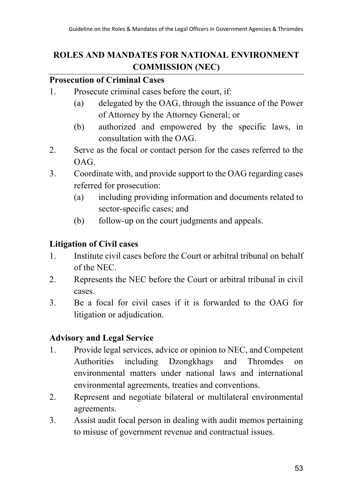# **ROLES AND MANDATES FOR NATIONAL ENVIRONMENT COMMISSION (NEC)**

#### **Prosecution of Criminal Cases**

- 1. Prosecute criminal cases before the court, if:
	- (a) delegated by the OAG, through the issuance of the Power of Attorney by the Attorney General; or
	- (b) authorized and empowered by the specific laws, in consultation with the OAG.
- 2. Serve as the focal or contact person for the cases referred to the OAG.
- 3. Coordinate with, and provide support to the OAG regarding cases referred for prosecution:
	- (a) including providing information and documents related to sector-specific cases; and
	- (b) follow-up on the court judgments and appeals.

### **Litigation of Civil cases**

- 1. Institute civil cases before the Court or arbitral tribunal on behalf of the NEC.
- 2. Represents the NEC before the Court or arbitral tribunal in civil cases.
- 3. Be a focal for civil cases if it is forwarded to the OAG for litigation or adjudication.

# **Advisory and Legal Service**

- 1. Provide legal services, advice or opinion to NEC, and Competent Authorities including Dzongkhags and Thromdes on environmental matters under national laws and international environmental agreements, treaties and conventions.
- 2. Represent and negotiate bilateral or multilateral environmental agreements.
- 3. Assist audit focal person in dealing with audit memos pertaining to misuse of government revenue and contractual issues.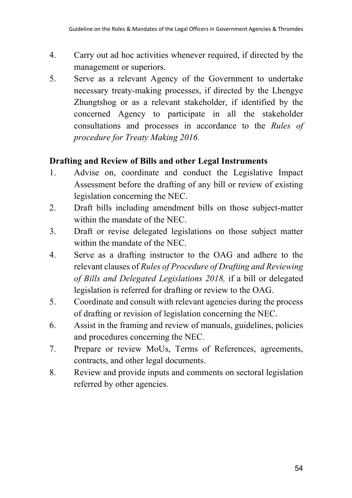- 4. Carry out ad hoc activities whenever required, if directed by the management or superiors.
- 5. Serve as a relevant Agency of the Government to undertake necessary treaty-making processes, if directed by the Lhengye Zhungtshog or as a relevant stakeholder, if identified by the concerned Agency to participate in all the stakeholder consultations and processes in accordance to the *Rules of procedure for Treaty Making 2016.*

### **Drafting and Review of Bills and other Legal Instruments**

- 1. Advise on, coordinate and conduct the Legislative Impact Assessment before the drafting of any bill or review of existing legislation concerning the NEC.
- 2. Draft bills including amendment bills on those subject-matter within the mandate of the NEC.
- 3. Draft or revise delegated legislations on those subject matter within the mandate of the NEC.
- 4. Serve as a drafting instructor to the OAG and adhere to the relevant clauses of *Rules of Procedure of Drafting and Reviewing of Bills and Delegated Legislations 2018,* if a bill or delegated legislation is referred for drafting or review to the OAG.
- 5. Coordinate and consult with relevant agencies during the process of drafting or revision of legislation concerning the NEC.
- 6. Assist in the framing and review of manuals, guidelines, policies and procedures concerning the NEC.
- 7. Prepare or review MoUs, Terms of References, agreements, contracts, and other legal documents.
- 8. Review and provide inputs and comments on sectoral legislation referred by other agencies.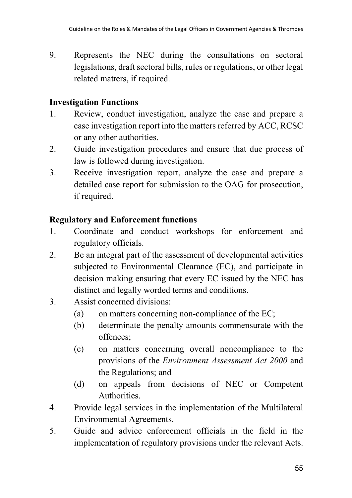9. Represents the NEC during the consultations on sectoral legislations, draft sectoral bills, rules or regulations, or other legal related matters, if required.

### **Investigation Functions**

- 1. Review, conduct investigation, analyze the case and prepare a case investigation report into the matters referred by ACC, RCSC or any other authorities.
- 2. Guide investigation procedures and ensure that due process of law is followed during investigation.
- 3. Receive investigation report, analyze the case and prepare a detailed case report for submission to the OAG for prosecution, if required.

# **Regulatory and Enforcement functions**

- 1. Coordinate and conduct workshops for enforcement and regulatory officials.
- 2. Be an integral part of the assessment of developmental activities subjected to Environmental Clearance (EC), and participate in decision making ensuring that every EC issued by the NEC has distinct and legally worded terms and conditions.
- 3. Assist concerned divisions:
	- (a) on matters concerning non-compliance of the EC;
	- (b) determinate the penalty amounts commensurate with the offences;
	- (c) on matters concerning overall noncompliance to the provisions of the *Environment Assessment Act 2000* and the Regulations; and
	- (d) on appeals from decisions of NEC or Competent Authorities.
- 4. Provide legal services in the implementation of the Multilateral Environmental Agreements.
- 5. Guide and advice enforcement officials in the field in the implementation of regulatory provisions under the relevant Acts.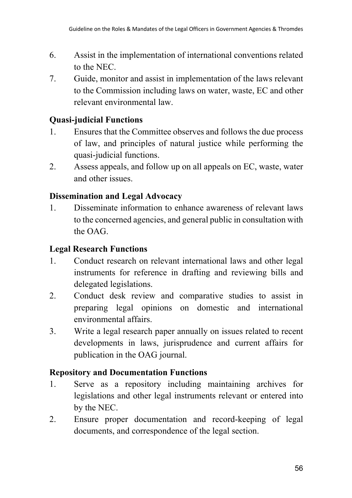- 6. Assist in the implementation of international conventions related to the NEC.
- 7. Guide, monitor and assist in implementation of the laws relevant to the Commission including laws on water, waste, EC and other relevant environmental law.

# **Quasi-judicial Functions**

- 1. Ensures that the Committee observes and follows the due process of law, and principles of natural justice while performing the quasi-judicial functions.
- 2. Assess appeals, and follow up on all appeals on EC, waste, water and other issues.

### **Dissemination and Legal Advocacy**

1. Disseminate information to enhance awareness of relevant laws to the concerned agencies, and general public in consultation with the OAG.

# **Legal Research Functions**

- 1. Conduct research on relevant international laws and other legal instruments for reference in drafting and reviewing bills and delegated legislations.
- 2. Conduct desk review and comparative studies to assist in preparing legal opinions on domestic and international environmental affairs.
- 3. Write a legal research paper annually on issues related to recent developments in laws, jurisprudence and current affairs for publication in the OAG journal.

# **Repository and Documentation Functions**

- 1. Serve as a repository including maintaining archives for legislations and other legal instruments relevant or entered into by the NEC.
- 2. Ensure proper documentation and record-keeping of legal documents, and correspondence of the legal section.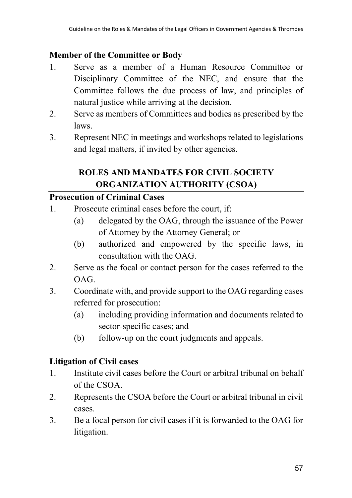### **Member of the Committee or Body**

- 1. Serve as a member of a Human Resource Committee or Disciplinary Committee of the NEC, and ensure that the Committee follows the due process of law, and principles of natural justice while arriving at the decision.
- 2. Serve as members of Committees and bodies as prescribed by the laws.
- 3. Represent NEC in meetings and workshops related to legislations and legal matters, if invited by other agencies.

# **ROLES AND MANDATES FOR CIVIL SOCIETY ORGANIZATION AUTHORITY (CSOA)**

### **Prosecution of Criminal Cases**

- 1. Prosecute criminal cases before the court, if:
	- (a) delegated by the OAG, through the issuance of the Power of Attorney by the Attorney General; or
	- (b) authorized and empowered by the specific laws, in consultation with the OAG.
- 2. Serve as the focal or contact person for the cases referred to the OAG.
- 3. Coordinate with, and provide support to the OAG regarding cases referred for prosecution:
	- (a) including providing information and documents related to sector-specific cases; and
	- (b) follow-up on the court judgments and appeals.

# **Litigation of Civil cases**

- 1. Institute civil cases before the Court or arbitral tribunal on behalf of the CSOA.
- 2. Represents the CSOA before the Court or arbitral tribunal in civil cases.
- 3. Be a focal person for civil cases if it is forwarded to the OAG for litigation.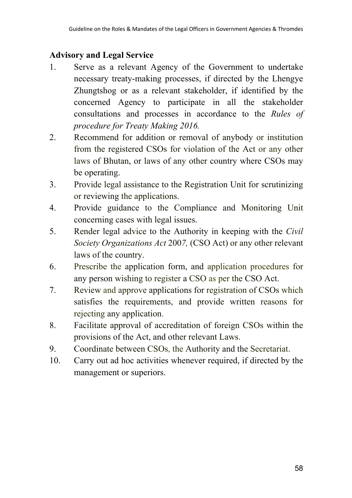# **Advisory and Legal Service**

- 1. Serve as a relevant Agency of the Government to undertake necessary treaty-making processes, if directed by the Lhengye Zhungtshog or as a relevant stakeholder, if identified by the concerned Agency to participate in all the stakeholder consultations and processes in accordance to the *Rules of procedure for Treaty Making 2016.*
- 2. Recommend for addition or removal of anybody or institution from the registered CSOs for violation of the Act or any other laws of Bhutan, or laws of any other country where CSOs may be operating.
- 3. Provide legal assistance to the Registration Unit for scrutinizing or reviewing the applications.
- 4. Provide guidance to the Compliance and Monitoring Unit concerning cases with legal issues.
- 5. Render legal advice to the Authority in keeping with the *Civil Society Organizations Act* 200*7,* (CSO Act) or any other relevant laws of the country.
- 6. Prescribe the application form, and application procedures for any person wishing to register a CSO as per the CSO Act.
- 7. Review and approve applications for registration of CSOs which satisfies the requirements, and provide written reasons for rejecting any application.
- 8. Facilitate approval of accreditation of foreign CSOs within the provisions of the Act, and other relevant Laws.
- 9. Coordinate between CSOs, the Authority and the Secretariat.
- 10. Carry out ad hoc activities whenever required, if directed by the management or superiors.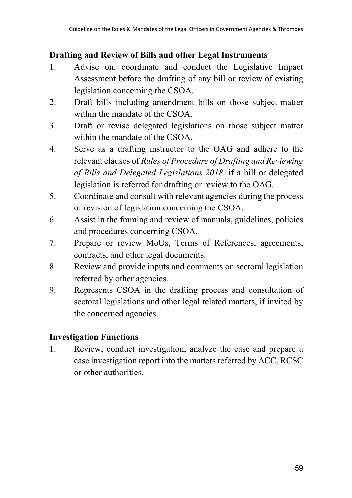### **Drafting and Review of Bills and other Legal Instruments**

- 1. Advise on, coordinate and conduct the Legislative Impact Assessment before the drafting of any bill or review of existing legislation concerning the CSOA.
- 2. Draft bills including amendment bills on those subject-matter within the mandate of the CSOA.
- 3. Draft or revise delegated legislations on those subject matter within the mandate of the CSOA.
- 4. Serve as a drafting instructor to the OAG and adhere to the relevant clauses of *Rules of Procedure of Drafting and Reviewing of Bills and Delegated Legislations 2018,* if a bill or delegated legislation is referred for drafting or review to the OAG.
- 5. Coordinate and consult with relevant agencies during the process of revision of legislation concerning the CSOA.
- 6. Assist in the framing and review of manuals, guidelines, policies and procedures concerning CSOA.
- 7. Prepare or review MoUs, Terms of References, agreements, contracts, and other legal documents.
- 8. Review and provide inputs and comments on sectoral legislation referred by other agencies.
- 9. Represents CSOA in the drafting process and consultation of sectoral legislations and other legal related matters, if invited by the concerned agencies.

# **Investigation Functions**

1. Review, conduct investigation, analyze the case and prepare a case investigation report into the matters referred by ACC, RCSC or other authorities.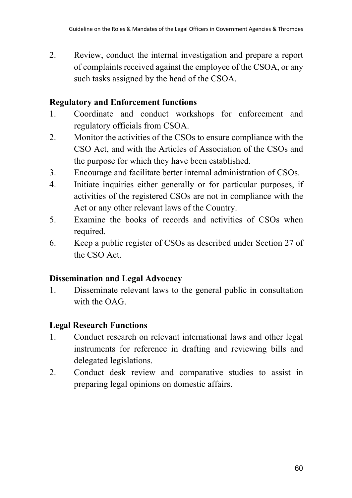2. Review, conduct the internal investigation and prepare a report of complaints received against the employee of the CSOA, or any such tasks assigned by the head of the CSOA.

### **Regulatory and Enforcement functions**

- 1. Coordinate and conduct workshops for enforcement and regulatory officials from CSOA.
- 2. Monitor the activities of the CSOs to ensure compliance with the CSO Act, and with the Articles of Association of the CSOs and the purpose for which they have been established.
- 3. Encourage and facilitate better internal administration of CSOs.
- 4. Initiate inquiries either generally or for particular purposes, if activities of the registered CSOs are not in compliance with the Act or any other relevant laws of the Country.
- 5. Examine the books of records and activities of CSOs when required.
- 6. Keep a public register of CSOs as described under Section 27 of the CSO Act.

#### **Dissemination and Legal Advocacy**

1. Disseminate relevant laws to the general public in consultation with the OAG.

# **Legal Research Functions**

- 1. Conduct research on relevant international laws and other legal instruments for reference in drafting and reviewing bills and delegated legislations.
- 2. Conduct desk review and comparative studies to assist in preparing legal opinions on domestic affairs.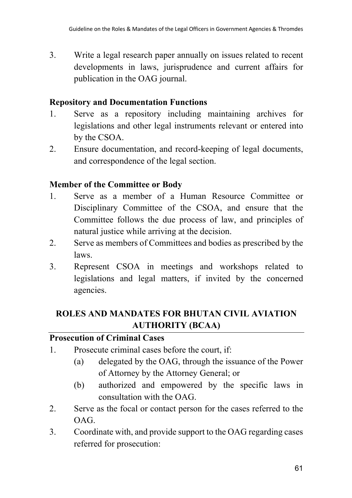3. Write a legal research paper annually on issues related to recent developments in laws, jurisprudence and current affairs for publication in the OAG journal.

#### **Repository and Documentation Functions**

- 1. Serve as a repository including maintaining archives for legislations and other legal instruments relevant or entered into by the CSOA.
- 2. Ensure documentation, and record-keeping of legal documents, and correspondence of the legal section.

### **Member of the Committee or Body**

- 1. Serve as a member of a Human Resource Committee or Disciplinary Committee of the CSOA, and ensure that the Committee follows the due process of law, and principles of natural justice while arriving at the decision.
- 2. Serve as members of Committees and bodies as prescribed by the laws.
- 3. Represent CSOA in meetings and workshops related to legislations and legal matters, if invited by the concerned agencies.

# **ROLES AND MANDATES FOR BHUTAN CIVIL AVIATION AUTHORITY (BCAA)**

#### **Prosecution of Criminal Cases**

- 1. Prosecute criminal cases before the court, if:
	- (a) delegated by the OAG, through the issuance of the Power of Attorney by the Attorney General; or
	- (b) authorized and empowered by the specific laws in consultation with the OAG.
- 2. Serve as the focal or contact person for the cases referred to the OAG.
- 3. Coordinate with, and provide support to the OAG regarding cases referred for prosecution: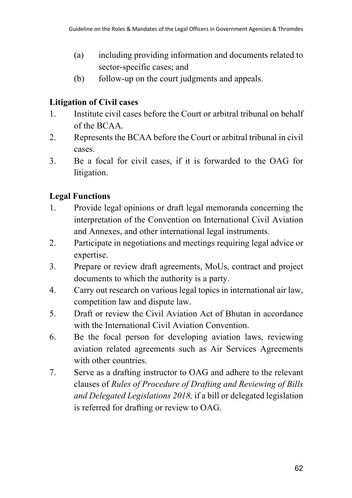- (a) including providing information and documents related to sector-specific cases; and
- (b) follow-up on the court judgments and appeals.

# **Litigation of Civil cases**

- 1. Institute civil cases before the Court or arbitral tribunal on behalf of the BCAA.
- 2. Represents the BCAA before the Court or arbitral tribunal in civil cases.
- 3. Be a focal for civil cases, if it is forwarded to the OAG for litigation.

# **Legal Functions**

- 1. Provide legal opinions or draft legal memoranda concerning the interpretation of the Convention on International Civil Aviation and Annexes, and other international legal instruments.
- 2. Participate in negotiations and meetings requiring legal advice or expertise.
- 3. Prepare or review draft agreements, MoUs, contract and project documents to which the authority is a party.
- 4. Carry out research on various legal topics in international air law, competition law and dispute law.
- 5. Draft or review the Civil Aviation Act of Bhutan in accordance with the International Civil Aviation Convention.
- 6. Be the focal person for developing aviation laws, reviewing aviation related agreements such as Air Services Agreements with other countries.
- 7. Serve as a drafting instructor to OAG and adhere to the relevant clauses of *Rules of Procedure of Drafting and Reviewing of Bills and Delegated Legislations 2018,* if a bill or delegated legislation is referred for drafting or review to OAG.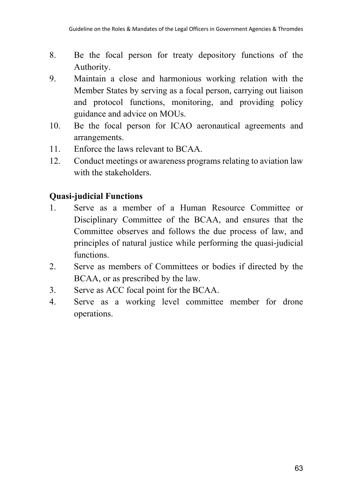- 8. Be the focal person for treaty depository functions of the Authority.
- 9. Maintain a close and harmonious working relation with the Member States by serving as a focal person, carrying out liaison and protocol functions, monitoring, and providing policy guidance and advice on MOUs.
- 10. Be the focal person for ICAO aeronautical agreements and arrangements.
- 11. Enforce the laws relevant to BCAA.
- 12. Conduct meetings or awareness programs relating to aviation law with the stakeholders.

### **Quasi-judicial Functions**

- 1. Serve as a member of a Human Resource Committee or Disciplinary Committee of the BCAA, and ensures that the Committee observes and follows the due process of law, and principles of natural justice while performing the quasi-judicial functions.
- 2. Serve as members of Committees or bodies if directed by the BCAA, or as prescribed by the law.
- 3. Serve as ACC focal point for the BCAA.
- 4. Serve as a working level committee member for drone operations.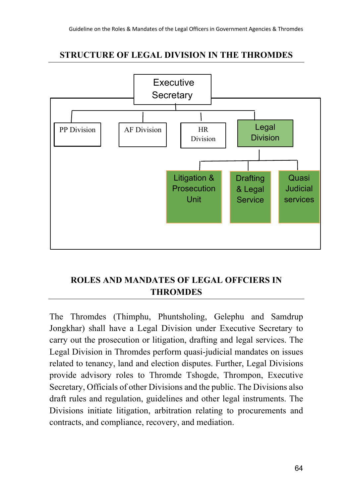## **STRUCTURE OF LEGAL DIVISION IN THE THROMDES**



# **ROLES AND MANDATES OF LEGAL OFFCIERS IN THROMDES**

The Thromdes (Thimphu, Phuntsholing, Gelephu and Samdrup Jongkhar) shall have a Legal Division under Executive Secretary to carry out the prosecution or litigation, drafting and legal services. The Legal Division in Thromdes perform quasi-judicial mandates on issues related to tenancy, land and election disputes. Further, Legal Divisions provide advisory roles to Thromde Tshogde, Thrompon, Executive Secretary, Officials of other Divisions and the public. The Divisions also draft rules and regulation, guidelines and other legal instruments. The Divisions initiate litigation, arbitration relating to procurements and contracts, and compliance, recovery, and mediation.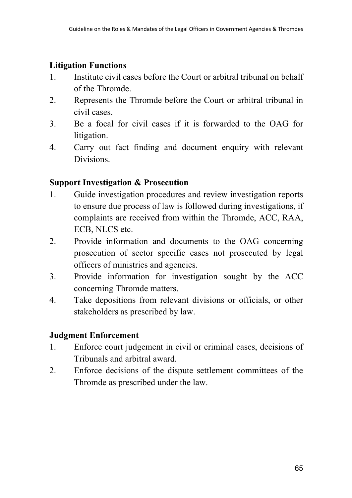### **Litigation Functions**

- 1. Institute civil cases before the Court or arbitral tribunal on behalf of the Thromde.
- 2. Represents the Thromde before the Court or arbitral tribunal in civil cases.
- 3. Be a focal for civil cases if it is forwarded to the OAG for litigation.
- 4. Carry out fact finding and document enquiry with relevant Divisions.

#### **Support Investigation & Prosecution**

- 1. Guide investigation procedures and review investigation reports to ensure due process of law is followed during investigations, if complaints are received from within the Thromde, ACC, RAA, ECB, NLCS etc.
- 2. Provide information and documents to the OAG concerning prosecution of sector specific cases not prosecuted by legal officers of ministries and agencies.
- 3. Provide information for investigation sought by the ACC concerning Thromde matters.
- 4. Take depositions from relevant divisions or officials, or other stakeholders as prescribed by law.

#### **Judgment Enforcement**

- 1. Enforce court judgement in civil or criminal cases, decisions of Tribunals and arbitral award.
- 2. Enforce decisions of the dispute settlement committees of the Thromde as prescribed under the law.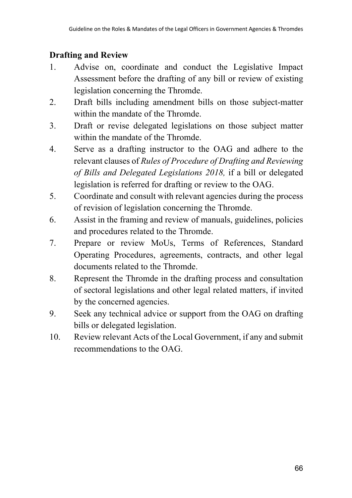# **Drafting and Review**

- 1. Advise on, coordinate and conduct the Legislative Impact Assessment before the drafting of any bill or review of existing legislation concerning the Thromde.
- 2. Draft bills including amendment bills on those subject-matter within the mandate of the Thromde.
- 3. Draft or revise delegated legislations on those subject matter within the mandate of the Thromde.
- 4. Serve as a drafting instructor to the OAG and adhere to the relevant clauses of *Rules of Procedure of Drafting and Reviewing of Bills and Delegated Legislations 2018,* if a bill or delegated legislation is referred for drafting or review to the OAG.
- 5. Coordinate and consult with relevant agencies during the process of revision of legislation concerning the Thromde.
- 6. Assist in the framing and review of manuals, guidelines, policies and procedures related to the Thromde.
- 7. Prepare or review MoUs, Terms of References, Standard Operating Procedures, agreements, contracts, and other legal documents related to the Thromde.
- 8. Represent the Thromde in the drafting process and consultation of sectoral legislations and other legal related matters, if invited by the concerned agencies.
- 9. Seek any technical advice or support from the OAG on drafting bills or delegated legislation.
- 10. Review relevant Acts of the Local Government, if any and submit recommendations to the OAG.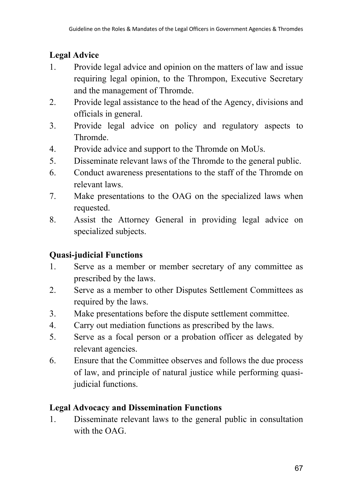# **Legal Advice**

- 1. Provide legal advice and opinion on the matters of law and issue requiring legal opinion, to the Thrompon, Executive Secretary and the management of Thromde.
- 2. Provide legal assistance to the head of the Agency, divisions and officials in general.
- 3. Provide legal advice on policy and regulatory aspects to Thromde.
- 4. Provide advice and support to the Thromde on MoUs.
- 5. Disseminate relevant laws of the Thromde to the general public.
- 6. Conduct awareness presentations to the staff of the Thromde on relevant laws.
- 7. Make presentations to the OAG on the specialized laws when requested.
- 8. Assist the Attorney General in providing legal advice on specialized subjects.

# **Quasi-judicial Functions**

- 1. Serve as a member or member secretary of any committee as prescribed by the laws.
- 2. Serve as a member to other Disputes Settlement Committees as required by the laws.
- 3. Make presentations before the dispute settlement committee.
- 4. Carry out mediation functions as prescribed by the laws.
- 5. Serve as a focal person or a probation officer as delegated by relevant agencies.
- 6. Ensure that the Committee observes and follows the due process of law, and principle of natural justice while performing quasijudicial functions.

# **Legal Advocacy and Dissemination Functions**

1. Disseminate relevant laws to the general public in consultation with the OAG.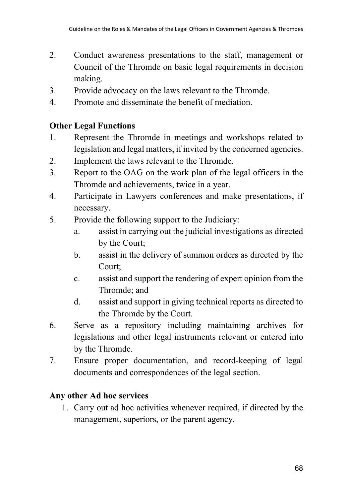- 2. Conduct awareness presentations to the staff, management or Council of the Thromde on basic legal requirements in decision making.
- 3. Provide advocacy on the laws relevant to the Thromde.
- 4. Promote and disseminate the benefit of mediation.

# **Other Legal Functions**

- 1. Represent the Thromde in meetings and workshops related to legislation and legal matters, if invited by the concerned agencies.
- 2. Implement the laws relevant to the Thromde.
- 3. Report to the OAG on the work plan of the legal officers in the Thromde and achievements, twice in a year.
- 4. Participate in Lawyers conferences and make presentations, if necessary.
- 5. Provide the following support to the Judiciary:
	- a. assist in carrying out the judicial investigations as directed by the Court;
	- b. assist in the delivery of summon orders as directed by the Court;
	- c. assist and support the rendering of expert opinion from the Thromde; and
	- d. assist and support in giving technical reports as directed to the Thromde by the Court.
- 6. Serve as a repository including maintaining archives for legislations and other legal instruments relevant or entered into by the Thromde.
- 7. Ensure proper documentation, and record-keeping of legal documents and correspondences of the legal section.

# **Any other Ad hoc services**

1. Carry out ad hoc activities whenever required, if directed by the management, superiors, or the parent agency.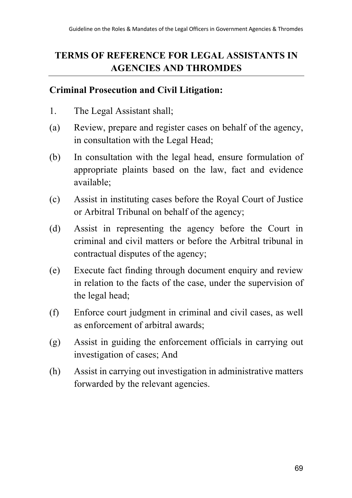# **TERMS OF REFERENCE FOR LEGAL ASSISTANTS IN AGENCIES AND THROMDES**

#### **Criminal Prosecution and Civil Litigation:**

- 1. The Legal Assistant shall;
- (a) Review, prepare and register cases on behalf of the agency, in consultation with the Legal Head;
- (b) In consultation with the legal head, ensure formulation of appropriate plaints based on the law, fact and evidence available;
- (c) Assist in instituting cases before the Royal Court of Justice or Arbitral Tribunal on behalf of the agency;
- (d) Assist in representing the agency before the Court in criminal and civil matters or before the Arbitral tribunal in contractual disputes of the agency;
- (e) Execute fact finding through document enquiry and review in relation to the facts of the case, under the supervision of the legal head;
- (f) Enforce court judgment in criminal and civil cases, as well as enforcement of arbitral awards;
- (g) Assist in guiding the enforcement officials in carrying out investigation of cases; And
- (h) Assist in carrying out investigation in administrative matters forwarded by the relevant agencies.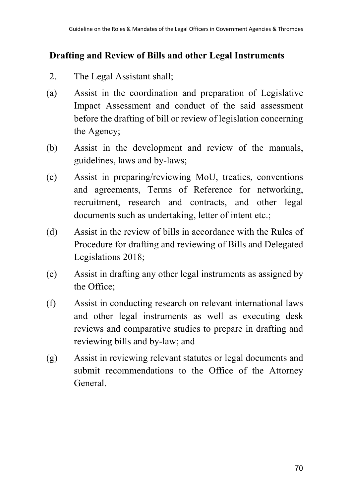# **Drafting and Review of Bills and other Legal Instruments**

- 2. The Legal Assistant shall;
- (a) Assist in the coordination and preparation of Legislative Impact Assessment and conduct of the said assessment before the drafting of bill or review of legislation concerning the Agency;
- (b) Assist in the development and review of the manuals, guidelines, laws and by-laws;
- (c) Assist in preparing/reviewing MoU, treaties, conventions and agreements, Terms of Reference for networking, recruitment, research and contracts, and other legal documents such as undertaking, letter of intent etc.;
- (d) Assist in the review of bills in accordance with the Rules of Procedure for drafting and reviewing of Bills and Delegated Legislations 2018;
- (e) Assist in drafting any other legal instruments as assigned by the Office;
- (f) Assist in conducting research on relevant international laws and other legal instruments as well as executing desk reviews and comparative studies to prepare in drafting and reviewing bills and by-law; and
- (g) Assist in reviewing relevant statutes or legal documents and submit recommendations to the Office of the Attorney General.